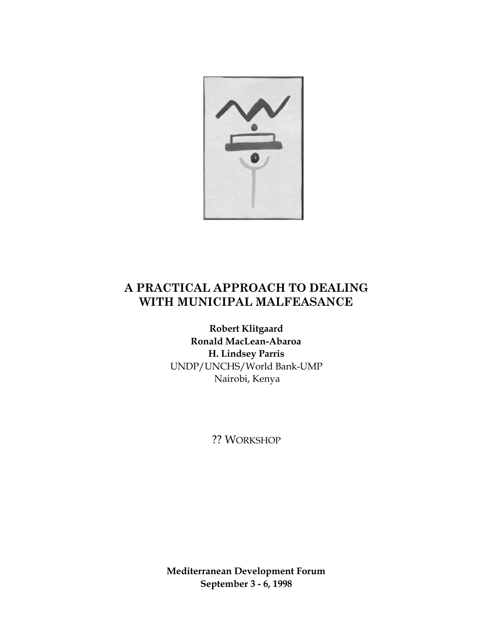

# **A PRACTICAL APPROACH TO DEALING WITH MUNICIPAL MALFEASANCE**

**Robert Klitgaard Ronald MacLean-Abaroa H. Lindsey Parris** UNDP/UNCHS/World Bank-UMP Nairobi, Kenya

?? WORKSHOP

**Mediterranean Development Forum September 3 - 6, 1998**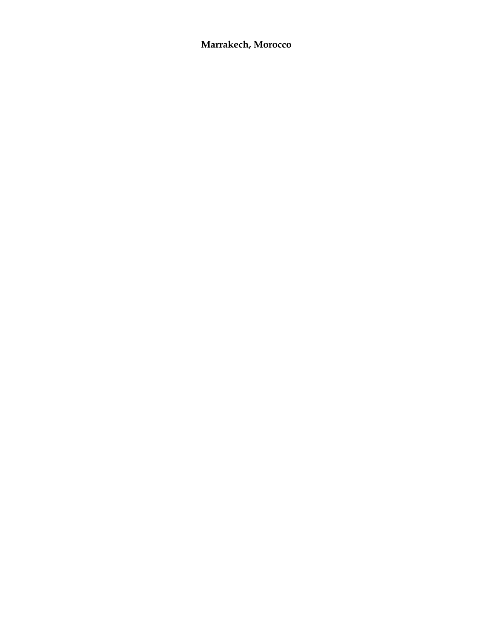**Marrakech, Morocco**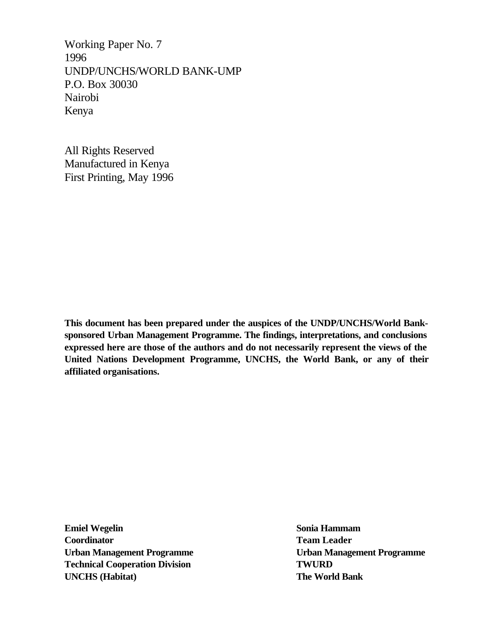Working Paper No. 7 1996 UNDP/UNCHS/WORLD BANK-UMP P.O. Box 30030 Nairobi Kenya

All Rights Reserved Manufactured in Kenya First Printing, May 1996

**This document has been prepared under the auspices of the UNDP/UNCHS/World Banksponsored Urban Management Programme. The findings, interpretations, and conclusions expressed here are those of the authors and do not necessarily represent the views of the United Nations Development Programme, UNCHS, the World Bank, or any of their affiliated organisations.**

**Emiel Wegelin Sonia Hammam Coordinator Team Leader Technical Cooperation Division TWURD UNCHS (Habitat) The World Bank**

**Urban Management Programme Urban Management Programme**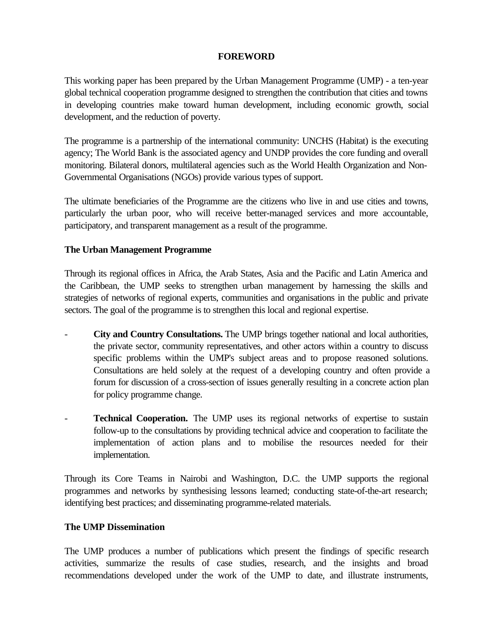### **FOREWORD**

This working paper has been prepared by the Urban Management Programme (UMP) - a ten-year global technical cooperation programme designed to strengthen the contribution that cities and towns in developing countries make toward human development, including economic growth, social development, and the reduction of poverty.

The programme is a partnership of the international community: UNCHS (Habitat) is the executing agency; The World Bank is the associated agency and UNDP provides the core funding and overall monitoring. Bilateral donors, multilateral agencies such as the World Health Organization and Non-Governmental Organisations (NGOs) provide various types of support.

The ultimate beneficiaries of the Programme are the citizens who live in and use cities and towns, particularly the urban poor, who will receive better-managed services and more accountable, participatory, and transparent management as a result of the programme.

## **The Urban Management Programme**

Through its regional offices in Africa, the Arab States, Asia and the Pacific and Latin America and the Caribbean, the UMP seeks to strengthen urban management by harnessing the skills and strategies of networks of regional experts, communities and organisations in the public and private sectors. The goal of the programme is to strengthen this local and regional expertise.

- **City and Country Consultations.** The UMP brings together national and local authorities, the private sector, community representatives, and other actors within a country to discuss specific problems within the UMP's subject areas and to propose reasoned solutions. Consultations are held solely at the request of a developing country and often provide a forum for discussion of a cross-section of issues generally resulting in a concrete action plan for policy programme change.
- **Technical Cooperation.** The UMP uses its regional networks of expertise to sustain follow-up to the consultations by providing technical advice and cooperation to facilitate the implementation of action plans and to mobilise the resources needed for their implementation.

Through its Core Teams in Nairobi and Washington, D.C. the UMP supports the regional programmes and networks by synthesising lessons learned; conducting state-of-the-art research; identifying best practices; and disseminating programme-related materials.

## **The UMP Dissemination**

The UMP produces a number of publications which present the findings of specific research activities, summarize the results of case studies, research, and the insights and broad recommendations developed under the work of the UMP to date, and illustrate instruments,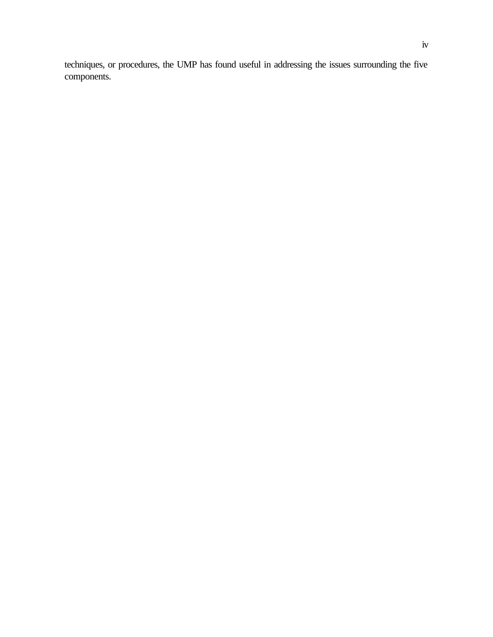techniques, or procedures, the UMP has found useful in addressing the issues surrounding the five components.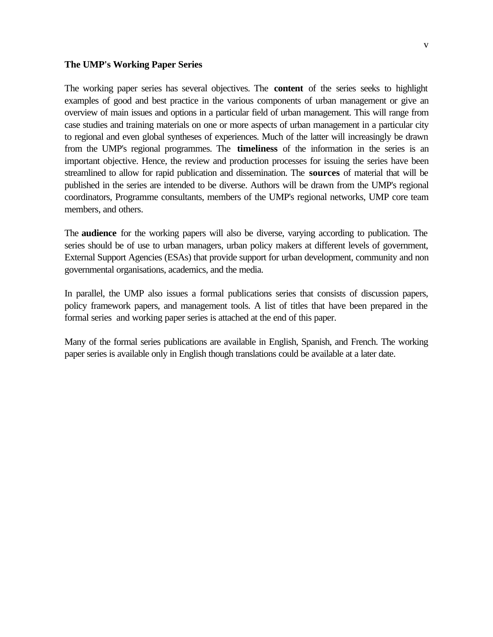#### **The UMP's Working Paper Series**

The working paper series has several objectives. The **content** of the series seeks to highlight examples of good and best practice in the various components of urban management or give an overview of main issues and options in a particular field of urban management. This will range from case studies and training materials on one or more aspects of urban management in a particular city to regional and even global syntheses of experiences. Much of the latter will increasingly be drawn from the UMP's regional programmes. The **timeliness** of the information in the series is an important objective. Hence, the review and production processes for issuing the series have been streamlined to allow for rapid publication and dissemination. The **sources** of material that will be published in the series are intended to be diverse. Authors will be drawn from the UMP's regional coordinators, Programme consultants, members of the UMP's regional networks, UMP core team members, and others.

The **audience** for the working papers will also be diverse, varying according to publication. The series should be of use to urban managers, urban policy makers at different levels of government, External Support Agencies (ESAs) that provide support for urban development, community and non governmental organisations, academics, and the media.

In parallel, the UMP also issues a formal publications series that consists of discussion papers, policy framework papers, and management tools. A list of titles that have been prepared in the formal series and working paper series is attached at the end of this paper.

Many of the formal series publications are available in English, Spanish, and French. The working paper series is available only in English though translations could be available at a later date.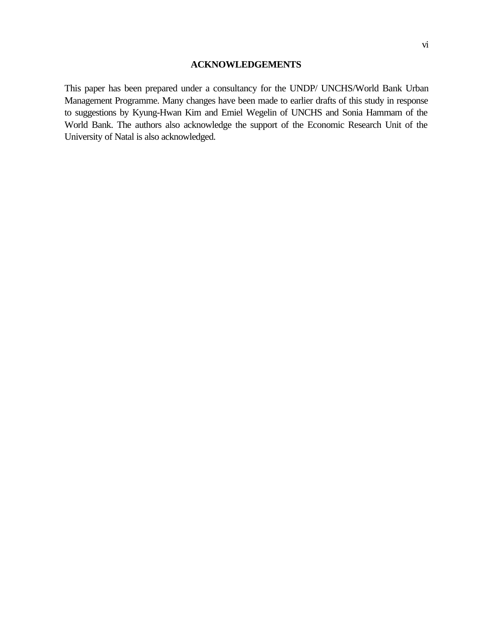#### **ACKNOWLEDGEMENTS**

This paper has been prepared under a consultancy for the UNDP/ UNCHS/World Bank Urban Management Programme. Many changes have been made to earlier drafts of this study in response to suggestions by Kyung-Hwan Kim and Emiel Wegelin of UNCHS and Sonia Hammam of the World Bank. The authors also acknowledge the support of the Economic Research Unit of the University of Natal is also acknowledged.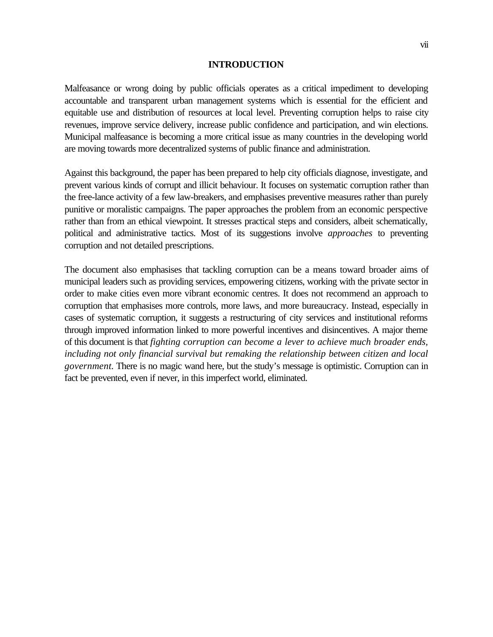#### **INTRODUCTION**

Malfeasance or wrong doing by public officials operates as a critical impediment to developing accountable and transparent urban management systems which is essential for the efficient and equitable use and distribution of resources at local level. Preventing corruption helps to raise city revenues, improve service delivery, increase public confidence and participation, and win elections. Municipal malfeasance is becoming a more critical issue as many countries in the developing world are moving towards more decentralized systems of public finance and administration.

Against this background, the paper has been prepared to help city officials diagnose, investigate, and prevent various kinds of corrupt and illicit behaviour. It focuses on systematic corruption rather than the free-lance activity of a few law-breakers, and emphasises preventive measures rather than purely punitive or moralistic campaigns. The paper approaches the problem from an economic perspective rather than from an ethical viewpoint. It stresses practical steps and considers, albeit schematically, political and administrative tactics. Most of its suggestions involve *approaches* to preventing corruption and not detailed prescriptions.

The document also emphasises that tackling corruption can be a means toward broader aims of municipal leaders such as providing services, empowering citizens, working with the private sector in order to make cities even more vibrant economic centres. It does not recommend an approach to corruption that emphasises more controls, more laws, and more bureaucracy. Instead, especially in cases of systematic corruption, it suggests a restructuring of city services and institutional reforms through improved information linked to more powerful incentives and disincentives. A major theme of this document is that *fighting corruption can become a lever to achieve much broader ends, including not only financial survival but remaking the relationship between citizen and local government.* There is no magic wand here, but the study's message is optimistic. Corruption can in fact be prevented, even if never, in this imperfect world, eliminated.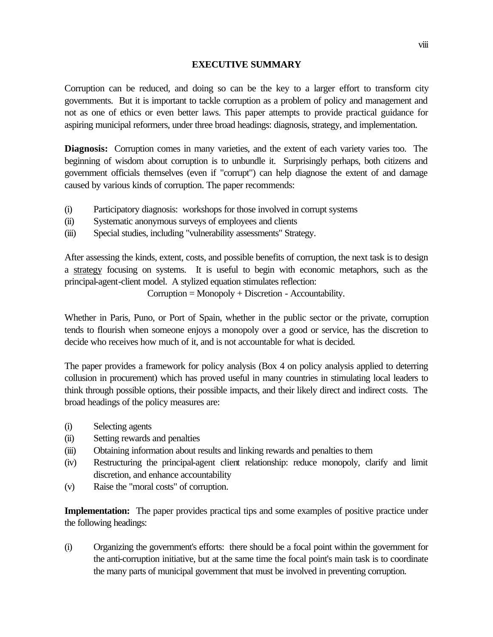### **EXECUTIVE SUMMARY**

Corruption can be reduced, and doing so can be the key to a larger effort to transform city governments. But it is important to tackle corruption as a problem of policy and management and not as one of ethics or even better laws. This paper attempts to provide practical guidance for aspiring municipal reformers, under three broad headings: diagnosis, strategy, and implementation.

**Diagnosis:** Corruption comes in many varieties, and the extent of each variety varies too. The beginning of wisdom about corruption is to unbundle it. Surprisingly perhaps, both citizens and government officials themselves (even if "corrupt") can help diagnose the extent of and damage caused by various kinds of corruption. The paper recommends:

- (i) Participatory diagnosis: workshops for those involved in corrupt systems
- (ii) Systematic anonymous surveys of employees and clients
- (iii) Special studies, including "vulnerability assessments" Strategy.

After assessing the kinds, extent, costs, and possible benefits of corruption, the next task is to design a strategy focusing on systems. It is useful to begin with economic metaphors, such as the principal-agent-client model. A stylized equation stimulates reflection:

Corruption = Monopoly + Discretion - Accountability.

Whether in Paris, Puno, or Port of Spain, whether in the public sector or the private, corruption tends to flourish when someone enjoys a monopoly over a good or service, has the discretion to decide who receives how much of it, and is not accountable for what is decided.

The paper provides a framework for policy analysis (Box 4 on policy analysis applied to deterring collusion in procurement) which has proved useful in many countries in stimulating local leaders to think through possible options, their possible impacts, and their likely direct and indirect costs. The broad headings of the policy measures are:

- (i) Selecting agents
- (ii) Setting rewards and penalties
- (iii) Obtaining information about results and linking rewards and penalties to them
- (iv) Restructuring the principal-agent client relationship: reduce monopoly, clarify and limit discretion, and enhance accountability
- (v) Raise the "moral costs" of corruption.

**Implementation:** The paper provides practical tips and some examples of positive practice under the following headings:

(i) Organizing the government's efforts: there should be a focal point within the government for the anti-corruption initiative, but at the same time the focal point's main task is to coordinate the many parts of municipal government that must be involved in preventing corruption.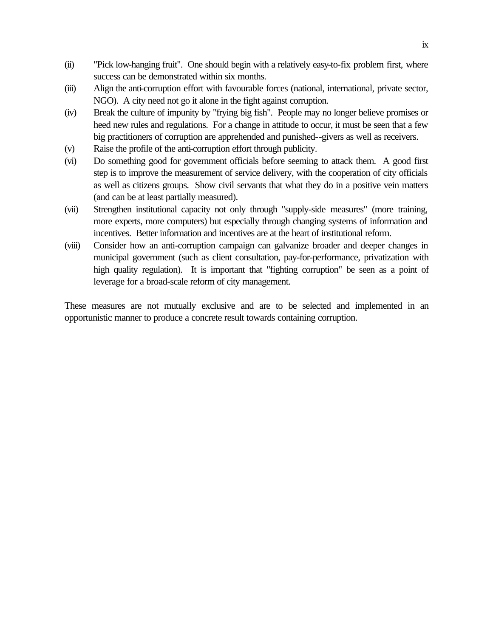- (ii) "Pick low-hanging fruit". One should begin with a relatively easy-to-fix problem first, where success can be demonstrated within six months.
- (iii) Align the anti-corruption effort with favourable forces (national, international, private sector, NGO). A city need not go it alone in the fight against corruption.
- (iv) Break the culture of impunity by "frying big fish". People may no longer believe promises or heed new rules and regulations. For a change in attitude to occur, it must be seen that a few big practitioners of corruption are apprehended and punished--givers as well as receivers.
- (v) Raise the profile of the anti-corruption effort through publicity.
- (vi) Do something good for government officials before seeming to attack them. A good first step is to improve the measurement of service delivery, with the cooperation of city officials as well as citizens groups. Show civil servants that what they do in a positive vein matters (and can be at least partially measured).
- (vii) Strengthen institutional capacity not only through "supply-side measures" (more training, more experts, more computers) but especially through changing systems of information and incentives. Better information and incentives are at the heart of institutional reform.
- (viii) Consider how an anti-corruption campaign can galvanize broader and deeper changes in municipal government (such as client consultation, pay-for-performance, privatization with high quality regulation). It is important that "fighting corruption" be seen as a point of leverage for a broad-scale reform of city management.

These measures are not mutually exclusive and are to be selected and implemented in an opportunistic manner to produce a concrete result towards containing corruption.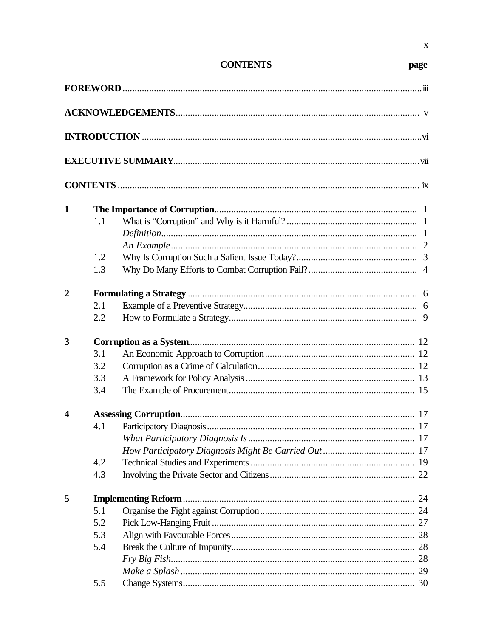| $\mathbf{1}$            |     |  |  |  |  |  |  |
|-------------------------|-----|--|--|--|--|--|--|
|                         | 1.1 |  |  |  |  |  |  |
|                         |     |  |  |  |  |  |  |
|                         |     |  |  |  |  |  |  |
|                         | 1.2 |  |  |  |  |  |  |
|                         | 1.3 |  |  |  |  |  |  |
| $\overline{2}$          |     |  |  |  |  |  |  |
|                         | 2.1 |  |  |  |  |  |  |
|                         | 2.2 |  |  |  |  |  |  |
| 3                       |     |  |  |  |  |  |  |
|                         | 3.1 |  |  |  |  |  |  |
|                         | 3.2 |  |  |  |  |  |  |
|                         | 3.3 |  |  |  |  |  |  |
|                         | 3.4 |  |  |  |  |  |  |
| $\overline{\mathbf{4}}$ |     |  |  |  |  |  |  |
|                         | 4.1 |  |  |  |  |  |  |
|                         |     |  |  |  |  |  |  |
|                         |     |  |  |  |  |  |  |
|                         | 4.2 |  |  |  |  |  |  |
|                         | 4.3 |  |  |  |  |  |  |
| 5                       |     |  |  |  |  |  |  |
|                         | 5.1 |  |  |  |  |  |  |
|                         | 5.2 |  |  |  |  |  |  |
|                         | 5.3 |  |  |  |  |  |  |
|                         | 5.4 |  |  |  |  |  |  |
|                         |     |  |  |  |  |  |  |
|                         |     |  |  |  |  |  |  |
|                         | 5.5 |  |  |  |  |  |  |

## **CONTENTS**

page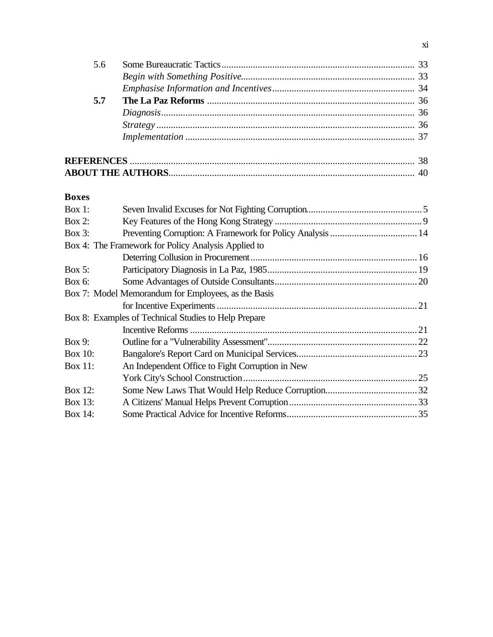| 5.7 |  |
|-----|--|
|     |  |
|     |  |
|     |  |
|     |  |
|     |  |

**ABOUT THE AUTHORS**...................................................................................................... 40

## **Boxes**

| Box 1:         |                                                      |  |
|----------------|------------------------------------------------------|--|
| Box 2:         |                                                      |  |
|                |                                                      |  |
| Box $3$ :      |                                                      |  |
|                | Box 4: The Framework for Policy Analysis Applied to  |  |
|                |                                                      |  |
| Box $5$ :      |                                                      |  |
| Box 6:         |                                                      |  |
|                | Box 7: Model Memorandum for Employees, as the Basis  |  |
|                |                                                      |  |
|                | Box 8: Examples of Technical Studies to Help Prepare |  |
|                |                                                      |  |
| Box 9:         |                                                      |  |
| Box $10$ :     |                                                      |  |
| <b>Box 11:</b> | An Independent Office to Fight Corruption in New     |  |
|                |                                                      |  |
| Box 12:        |                                                      |  |
| Box 13:        |                                                      |  |
| Box 14:        |                                                      |  |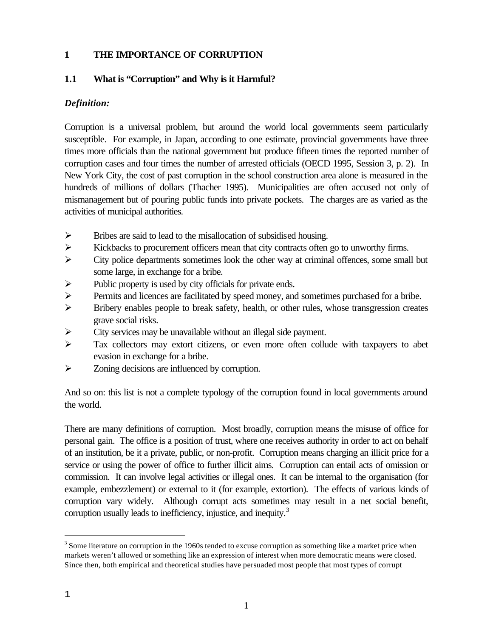## **1 THE IMPORTANCE OF CORRUPTION**

## **1.1 What is "Corruption" and Why is it Harmful?**

## *Definition:*

Corruption is a universal problem, but around the world local governments seem particularly susceptible. For example, in Japan, according to one estimate, provincial governments have three times more officials than the national government but produce fifteen times the reported number of corruption cases and four times the number of arrested officials (OECD 1995, Session 3, p. 2). In New York City, the cost of past corruption in the school construction area alone is measured in the hundreds of millions of dollars (Thacher 1995). Municipalities are often accused not only of mismanagement but of pouring public funds into private pockets. The charges are as varied as the activities of municipal authorities.

- $\triangleright$  Bribes are said to lead to the misallocation of subsidised housing.
- $\triangleright$  Kickbacks to procurement officers mean that city contracts often go to unworthy firms.
- $\triangleright$  City police departments sometimes look the other way at criminal offences, some small but some large, in exchange for a bribe.
- $\triangleright$  Public property is used by city officials for private ends.
- ÿ Permits and licences are facilitated by speed money, and sometimes purchased for a bribe.
- $\triangleright$  Bribery enables people to break safety, health, or other rules, whose transgression creates grave social risks.
- $\triangleright$  City services may be unavailable without an illegal side payment.
- $\triangleright$  Tax collectors may extort citizens, or even more often collude with taxpayers to abet evasion in exchange for a bribe.
- $\triangleright$  Zoning decisions are influenced by corruption.

And so on: this list is not a complete typology of the corruption found in local governments around the world.

There are many definitions of corruption. Most broadly, corruption means the misuse of office for personal gain. The office is a position of trust, where one receives authority in order to act on behalf of an institution, be it a private, public, or non-profit. Corruption means charging an illicit price for a service or using the power of office to further illicit aims. Corruption can entail acts of omission or commission. It can involve legal activities or illegal ones. It can be internal to the organisation (for example, embezzlement) or external to it (for example, extortion). The effects of various kinds of corruption vary widely. Although corrupt acts sometimes may result in a net social benefit, corruption usually leads to inefficiency, injustice, and inequity.<sup>3</sup>

i<br>Li

 $3$  Some literature on corruption in the 1960s tended to excuse corruption as something like a market price when markets weren't allowed or something like an expression of interest when more democratic means were closed. Since then, both empirical and theoretical studies have persuaded most people that most types of corrupt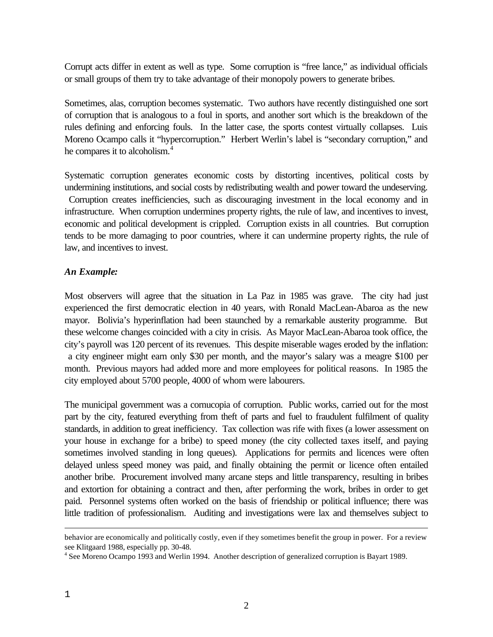Corrupt acts differ in extent as well as type. Some corruption is "free lance," as individual officials or small groups of them try to take advantage of their monopoly powers to generate bribes.

Sometimes, alas, corruption becomes systematic. Two authors have recently distinguished one sort of corruption that is analogous to a foul in sports, and another sort which is the breakdown of the rules defining and enforcing fouls. In the latter case, the sports contest virtually collapses. Luis Moreno Ocampo calls it "hypercorruption." Herbert Werlin's label is "secondary corruption," and he compares it to alcoholism.<sup>4</sup>

Systematic corruption generates economic costs by distorting incentives, political costs by undermining institutions, and social costs by redistributing wealth and power toward the undeserving. Corruption creates inefficiencies, such as discouraging investment in the local economy and in infrastructure. When corruption undermines property rights, the rule of law, and incentives to invest, economic and political development is crippled. Corruption exists in all countries. But corruption tends to be more damaging to poor countries, where it can undermine property rights, the rule of law, and incentives to invest.

### *An Example:*

Most observers will agree that the situation in La Paz in 1985 was grave. The city had just experienced the first democratic election in 40 years, with Ronald MacLean-Abaroa as the new mayor. Bolivia's hyperinflation had been staunched by a remarkable austerity programme. But these welcome changes coincided with a city in crisis. As Mayor MacLean-Abaroa took office, the city's payroll was 120 percent of its revenues. This despite miserable wages eroded by the inflation: a city engineer might earn only \$30 per month, and the mayor's salary was a meagre \$100 per month. Previous mayors had added more and more employees for political reasons. In 1985 the city employed about 5700 people, 4000 of whom were labourers.

The municipal government was a cornucopia of corruption. Public works, carried out for the most part by the city, featured everything from theft of parts and fuel to fraudulent fulfilment of quality standards, in addition to great inefficiency. Tax collection was rife with fixes (a lower assessment on your house in exchange for a bribe) to speed money (the city collected taxes itself, and paying sometimes involved standing in long queues). Applications for permits and licences were often delayed unless speed money was paid, and finally obtaining the permit or licence often entailed another bribe. Procurement involved many arcane steps and little transparency, resulting in bribes and extortion for obtaining a contract and then, after performing the work, bribes in order to get paid. Personnel systems often worked on the basis of friendship or political influence; there was little tradition of professionalism. Auditing and investigations were lax and themselves subject to

i<br>L

behavior are economically and politically costly, even if they sometimes benefit the group in power. For a review see Klitgaard 1988, especially pp. 30-48.

<sup>&</sup>lt;sup>4</sup> See Moreno Ocampo 1993 and Werlin 1994. Another description of generalized corruption is Bayart 1989.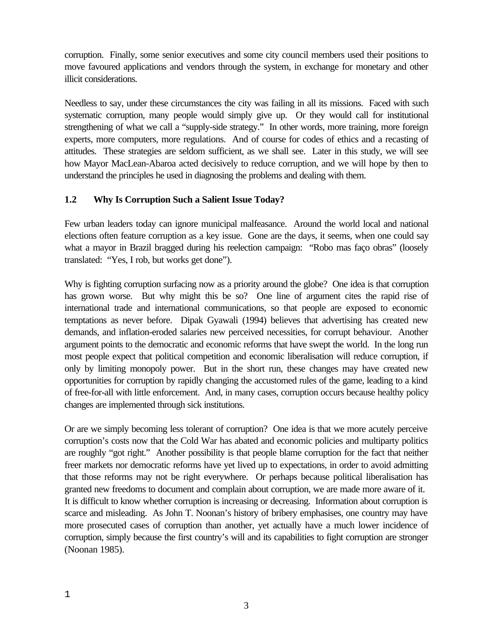corruption. Finally, some senior executives and some city council members used their positions to move favoured applications and vendors through the system, in exchange for monetary and other illicit considerations.

Needless to say, under these circumstances the city was failing in all its missions. Faced with such systematic corruption, many people would simply give up. Or they would call for institutional strengthening of what we call a "supply-side strategy." In other words, more training, more foreign experts, more computers, more regulations. And of course for codes of ethics and a recasting of attitudes. These strategies are seldom sufficient, as we shall see. Later in this study, we will see how Mayor MacLean-Abaroa acted decisively to reduce corruption, and we will hope by then to understand the principles he used in diagnosing the problems and dealing with them.

## **1.2 Why Is Corruption Such a Salient Issue Today?**

Few urban leaders today can ignore municipal malfeasance. Around the world local and national elections often feature corruption as a key issue. Gone are the days, it seems, when one could say what a mayor in Brazil bragged during his reelection campaign: "Robo mas faço obras" (loosely translated: "Yes, I rob, but works get done").

Why is fighting corruption surfacing now as a priority around the globe? One idea is that corruption has grown worse. But why might this be so? One line of argument cites the rapid rise of international trade and international communications, so that people are exposed to economic temptations as never before. Dipak Gyawali (1994) believes that advertising has created new demands, and inflation-eroded salaries new perceived necessities, for corrupt behaviour. Another argument points to the democratic and economic reforms that have swept the world. In the long run most people expect that political competition and economic liberalisation will reduce corruption, if only by limiting monopoly power. But in the short run, these changes may have created new opportunities for corruption by rapidly changing the accustomed rules of the game, leading to a kind of free-for-all with little enforcement. And, in many cases, corruption occurs because healthy policy changes are implemented through sick institutions.

Or are we simply becoming less tolerant of corruption? One idea is that we more acutely perceive corruption's costs now that the Cold War has abated and economic policies and multiparty politics are roughly "got right." Another possibility is that people blame corruption for the fact that neither freer markets nor democratic reforms have yet lived up to expectations, in order to avoid admitting that those reforms may not be right everywhere. Or perhaps because political liberalisation has granted new freedoms to document and complain about corruption, we are made more aware of it. It is difficult to know whether corruption is increasing or decreasing. Information about corruption is scarce and misleading. As John T. Noonan's history of bribery emphasises, one country may have more prosecuted cases of corruption than another, yet actually have a much lower incidence of corruption, simply because the first country's will and its capabilities to fight corruption are stronger (Noonan 1985).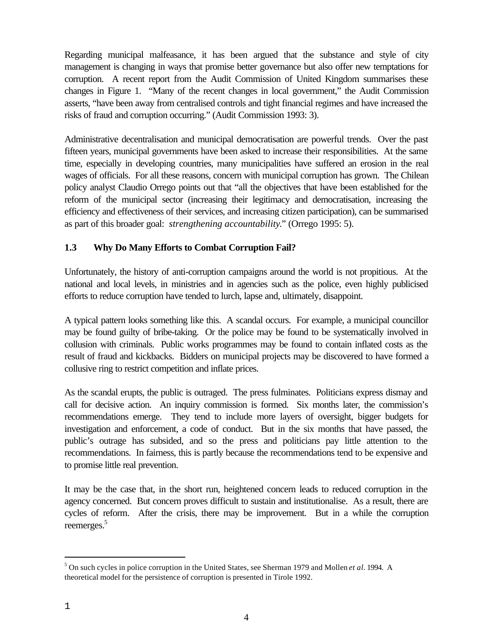Regarding municipal malfeasance, it has been argued that the substance and style of city management is changing in ways that promise better governance but also offer new temptations for corruption. A recent report from the Audit Commission of United Kingdom summarises these changes in Figure 1. "Many of the recent changes in local government," the Audit Commission asserts, "have been away from centralised controls and tight financial regimes and have increased the risks of fraud and corruption occurring." (Audit Commission 1993: 3).

Administrative decentralisation and municipal democratisation are powerful trends. Over the past fifteen years, municipal governments have been asked to increase their responsibilities. At the same time, especially in developing countries, many municipalities have suffered an erosion in the real wages of officials. For all these reasons, concern with municipal corruption has grown. The Chilean policy analyst Claudio Orrego points out that "all the objectives that have been established for the reform of the municipal sector (increasing their legitimacy and democratisation, increasing the efficiency and effectiveness of their services, and increasing citizen participation), can be summarised as part of this broader goal: *strengthening accountability*." (Orrego 1995: 5).

## **1.3 Why Do Many Efforts to Combat Corruption Fail?**

Unfortunately, the history of anti-corruption campaigns around the world is not propitious. At the national and local levels, in ministries and in agencies such as the police, even highly publicised efforts to reduce corruption have tended to lurch, lapse and, ultimately, disappoint.

A typical pattern looks something like this. A scandal occurs. For example, a municipal councillor may be found guilty of bribe-taking. Or the police may be found to be systematically involved in collusion with criminals. Public works programmes may be found to contain inflated costs as the result of fraud and kickbacks. Bidders on municipal projects may be discovered to have formed a collusive ring to restrict competition and inflate prices.

As the scandal erupts, the public is outraged. The press fulminates. Politicians express dismay and call for decisive action. An inquiry commission is formed. Six months later, the commission's recommendations emerge. They tend to include more layers of oversight, bigger budgets for investigation and enforcement, a code of conduct. But in the six months that have passed, the public's outrage has subsided, and so the press and politicians pay little attention to the recommendations. In fairness, this is partly because the recommendations tend to be expensive and to promise little real prevention.

It may be the case that, in the short run, heightened concern leads to reduced corruption in the agency concerned. But concern proves difficult to sustain and institutionalise. As a result, there are cycles of reform. After the crisis, there may be improvement. But in a while the corruption reemerges.<sup>5</sup>

i<br>Li

<sup>5</sup> On such cycles in police corruption in the United States, see Sherman 1979 and Mollen *et al.* 1994. A theoretical model for the persistence of corruption is presented in Tirole 1992.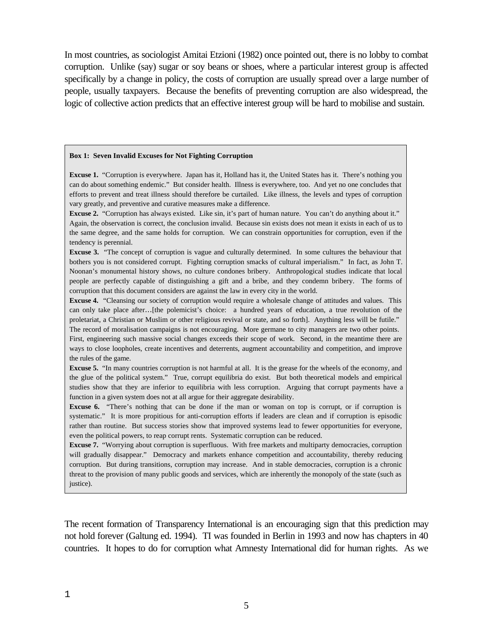In most countries, as sociologist Amitai Etzioni (1982) once pointed out, there is no lobby to combat corruption. Unlike (say) sugar or soy beans or shoes, where a particular interest group is affected specifically by a change in policy, the costs of corruption are usually spread over a large number of people, usually taxpayers. Because the benefits of preventing corruption are also widespread, the logic of collective action predicts that an effective interest group will be hard to mobilise and sustain.

#### **Box 1: Seven Invalid Excuses for Not Fighting Corruption**

**Excuse 1.** "Corruption is everywhere. Japan has it, Holland has it, the United States has it. There's nothing you can do about something endemic." But consider health. Illness is everywhere, too. And yet no one concludes that efforts to prevent and treat illness should therefore be curtailed. Like illness, the levels and types of corruption vary greatly, and preventive and curative measures make a difference.

**Excuse 2.** "Corruption has always existed. Like sin, it's part of human nature. You can't do anything about it." Again, the observation is correct, the conclusion invalid. Because sin exists does not mean it exists in each of us to the same degree, and the same holds for corruption. We can constrain opportunities for corruption, even if the tendency is perennial.

**Excuse 3.** "The concept of corruption is vague and culturally determined. In some cultures the behaviour that bothers you is not considered corrupt. Fighting corruption smacks of cultural imperialism." In fact, as John T. Noonan's monumental history shows, no culture condones bribery. Anthropological studies indicate that local people are perfectly capable of distinguishing a gift and a bribe, and they condemn bribery. The forms of corruption that this document considers are against the law in every city in the world.

**Excuse 4.** "Cleansing our society of corruption would require a wholesale change of attitudes and values. This can only take place after…[the polemicist's choice: a hundred years of education, a true revolution of the proletariat, a Christian or Muslim or other religious revival or state, and so forth]. Anything less will be futile." The record of moralisation campaigns is not encouraging. More germane to city managers are two other points.

First, engineering such massive social changes exceeds their scope of work. Second, in the meantime there are ways to close loopholes, create incentives and deterrents, augment accountability and competition, and improve the rules of the game.

**Excuse 5.** "In many countries corruption is not harmful at all. It is the grease for the wheels of the economy, and the glue of the political system." True, corrupt equilibria do exist. But both theoretical models and empirical studies show that they are inferior to equilibria with less corruption. Arguing that corrupt payments have a function in a given system does not at all argue for their aggregate desirability.

**Excuse 6.** "There's nothing that can be done if the man or woman on top is corrupt, or if corruption is systematic." It is more propitious for anti-corruption efforts if leaders are clean and if corruption is episodic rather than routine. But success stories show that improved systems lead to fewer opportunities for everyone, even the political powers, to reap corrupt rents. Systematic corruption can be reduced.

**Excuse 7.** "Worrying about corruption is superfluous. With free markets and multiparty democracies, corruption will gradually disappear." Democracy and markets enhance competition and accountability, thereby reducing corruption. But during transitions, corruption may increase. And in stable democracies, corruption is a chronic threat to the provision of many public goods and services, which are inherently the monopoly of the state (such as justice).

The recent formation of Transparency International is an encouraging sign that this prediction may not hold forever (Galtung ed. 1994). TI was founded in Berlin in 1993 and now has chapters in 40 countries. It hopes to do for corruption what Amnesty International did for human rights. As we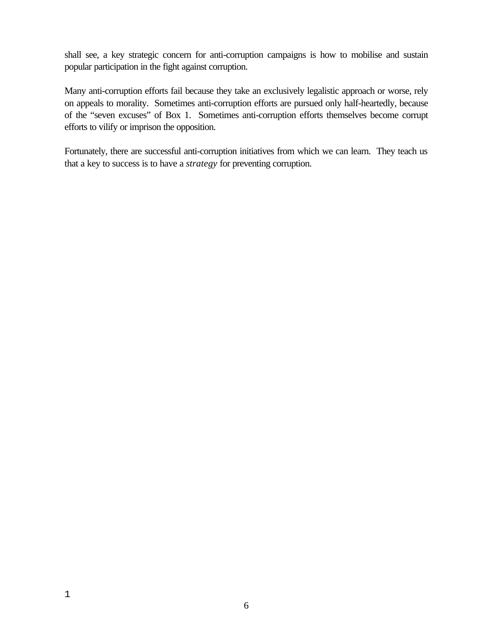shall see, a key strategic concern for anti-corruption campaigns is how to mobilise and sustain popular participation in the fight against corruption.

Many anti-corruption efforts fail because they take an exclusively legalistic approach or worse, rely on appeals to morality. Sometimes anti-corruption efforts are pursued only half-heartedly, because of the "seven excuses" of Box 1. Sometimes anti-corruption efforts themselves become corrupt efforts to vilify or imprison the opposition.

Fortunately, there are successful anti-corruption initiatives from which we can learn. They teach us that a key to success is to have a *strategy* for preventing corruption.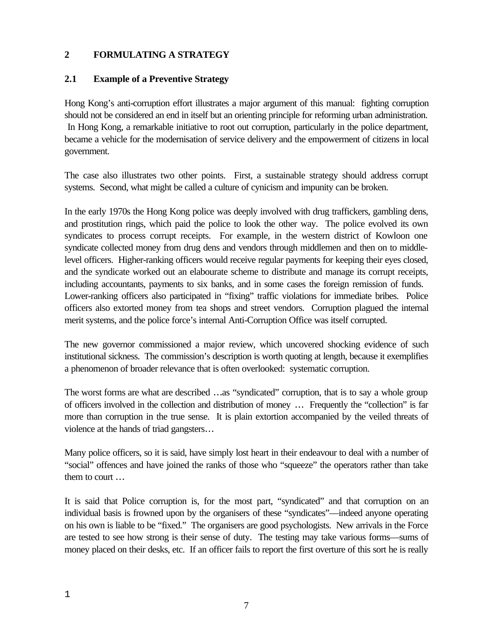## **2 FORMULATING A STRATEGY**

## **2.1 Example of a Preventive Strategy**

Hong Kong's anti-corruption effort illustrates a major argument of this manual: fighting corruption should not be considered an end in itself but an orienting principle for reforming urban administration. In Hong Kong, a remarkable initiative to root out corruption, particularly in the police department, became a vehicle for the modernisation of service delivery and the empowerment of citizens in local government.

The case also illustrates two other points. First, a sustainable strategy should address corrupt systems. Second, what might be called a culture of cynicism and impunity can be broken.

In the early 1970s the Hong Kong police was deeply involved with drug traffickers, gambling dens, and prostitution rings, which paid the police to look the other way. The police evolved its own syndicates to process corrupt receipts. For example, in the western district of Kowloon one syndicate collected money from drug dens and vendors through middlemen and then on to middlelevel officers. Higher-ranking officers would receive regular payments for keeping their eyes closed, and the syndicate worked out an elabourate scheme to distribute and manage its corrupt receipts, including accountants, payments to six banks, and in some cases the foreign remission of funds. Lower-ranking officers also participated in "fixing" traffic violations for immediate bribes. Police officers also extorted money from tea shops and street vendors. Corruption plagued the internal merit systems, and the police force's internal Anti-Corruption Office was itself corrupted.

The new governor commissioned a major review, which uncovered shocking evidence of such institutional sickness. The commission's description is worth quoting at length, because it exemplifies a phenomenon of broader relevance that is often overlooked: systematic corruption.

The worst forms are what are described …as "syndicated" corruption, that is to say a whole group of officers involved in the collection and distribution of money … Frequently the "collection" is far more than corruption in the true sense. It is plain extortion accompanied by the veiled threats of violence at the hands of triad gangsters…

Many police officers, so it is said, have simply lost heart in their endeavour to deal with a number of "social" offences and have joined the ranks of those who "squeeze" the operators rather than take them to court …

It is said that Police corruption is, for the most part, "syndicated" and that corruption on an individual basis is frowned upon by the organisers of these "syndicates"—indeed anyone operating on his own is liable to be "fixed." The organisers are good psychologists. New arrivals in the Force are tested to see how strong is their sense of duty. The testing may take various forms—sums of money placed on their desks, etc. If an officer fails to report the first overture of this sort he is really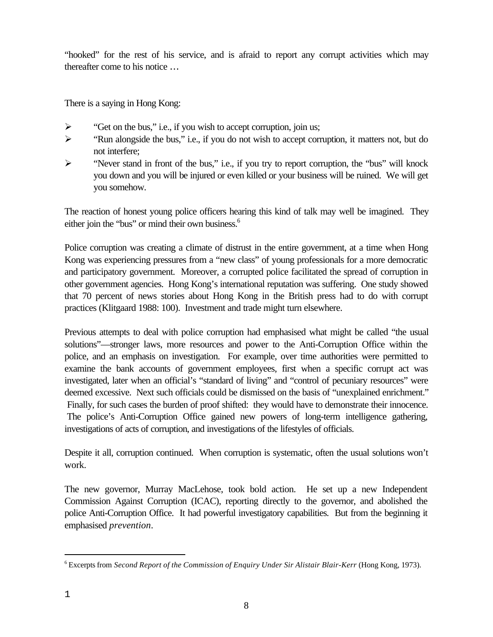"hooked" for the rest of his service, and is afraid to report any corrupt activities which may thereafter come to his notice …

There is a saying in Hong Kong:

- $\triangleright$  "Get on the bus," i.e., if you wish to accept corruption, join us;
- $\triangleright$  "Run alongside the bus," i.e., if you do not wish to accept corruption, it matters not, but do not interfere;
- $\triangleright$  "Never stand in front of the bus," i.e., if you try to report corruption, the "bus" will knock you down and you will be injured or even killed or your business will be ruined. We will get you somehow.

The reaction of honest young police officers hearing this kind of talk may well be imagined. They either join the "bus" or mind their own business.<sup>6</sup>

Police corruption was creating a climate of distrust in the entire government, at a time when Hong Kong was experiencing pressures from a "new class" of young professionals for a more democratic and participatory government. Moreover, a corrupted police facilitated the spread of corruption in other government agencies. Hong Kong's international reputation was suffering. One study showed that 70 percent of news stories about Hong Kong in the British press had to do with corrupt practices (Klitgaard 1988: 100). Investment and trade might turn elsewhere.

Previous attempts to deal with police corruption had emphasised what might be called "the usual solutions"—stronger laws, more resources and power to the Anti-Corruption Office within the police, and an emphasis on investigation. For example, over time authorities were permitted to examine the bank accounts of government employees, first when a specific corrupt act was investigated, later when an official's "standard of living" and "control of pecuniary resources" were deemed excessive. Next such officials could be dismissed on the basis of "unexplained enrichment." Finally, for such cases the burden of proof shifted: they would have to demonstrate their innocence. The police's Anti-Corruption Office gained new powers of long-term intelligence gathering, investigations of acts of corruption, and investigations of the lifestyles of officials.

Despite it all, corruption continued. When corruption is systematic, often the usual solutions won't work.

The new governor, Murray MacLehose, took bold action. He set up a new Independent Commission Against Corruption (ICAC), reporting directly to the governor, and abolished the police Anti-Corruption Office. It had powerful investigatory capabilities. But from the beginning it emphasised *prevention*.

i<br>Li 6 Excerpts from *Second Report of the Commission of Enquiry Under Sir Alistair Blair-Kerr* (Hong Kong, 1973).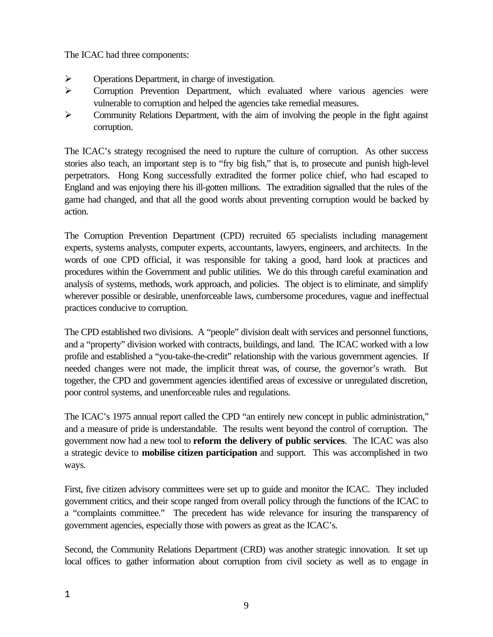The ICAC had three components:

- $\triangleright$  Operations Department, in charge of investigation.
- $\triangleright$  Corruption Prevention Department, which evaluated where various agencies were vulnerable to corruption and helped the agencies take remedial measures.
- $\triangleright$  Community Relations Department, with the aim of involving the people in the fight against corruption.

The ICAC's strategy recognised the need to rupture the culture of corruption. As other success stories also teach, an important step is to "fry big fish," that is, to prosecute and punish high-level perpetrators. Hong Kong successfully extradited the former police chief, who had escaped to England and was enjoying there his ill-gotten millions. The extradition signalled that the rules of the game had changed, and that all the good words about preventing corruption would be backed by action.

The Corruption Prevention Department (CPD) recruited 65 specialists including management experts, systems analysts, computer experts, accountants, lawyers, engineers, and architects. In the words of one CPD official, it was responsible for taking a good, hard look at practices and procedures within the Government and public utilities. We do this through careful examination and analysis of systems, methods, work approach, and policies. The object is to eliminate, and simplify wherever possible or desirable, unenforceable laws, cumbersome procedures, vague and ineffectual practices conducive to corruption.

The CPD established two divisions. A "people" division dealt with services and personnel functions, and a "property" division worked with contracts, buildings, and land. The ICAC worked with a low profile and established a "you-take-the-credit" relationship with the various government agencies. If needed changes were not made, the implicit threat was, of course, the governor's wrath. But together, the CPD and government agencies identified areas of excessive or unregulated discretion, poor control systems, and unenforceable rules and regulations.

The ICAC's 1975 annual report called the CPD "an entirely new concept in public administration," and a measure of pride is understandable. The results went beyond the control of corruption. The government now had a new tool to **reform the delivery of public services**. The ICAC was also a strategic device to **mobilise citizen participation** and support. This was accomplished in two ways.

First, five citizen advisory committees were set up to guide and monitor the ICAC. They included government critics, and their scope ranged from overall policy through the functions of the ICAC to a "complaints committee." The precedent has wide relevance for insuring the transparency of government agencies, especially those with powers as great as the ICAC's.

Second, the Community Relations Department (CRD) was another strategic innovation. It set up local offices to gather information about corruption from civil society as well as to engage in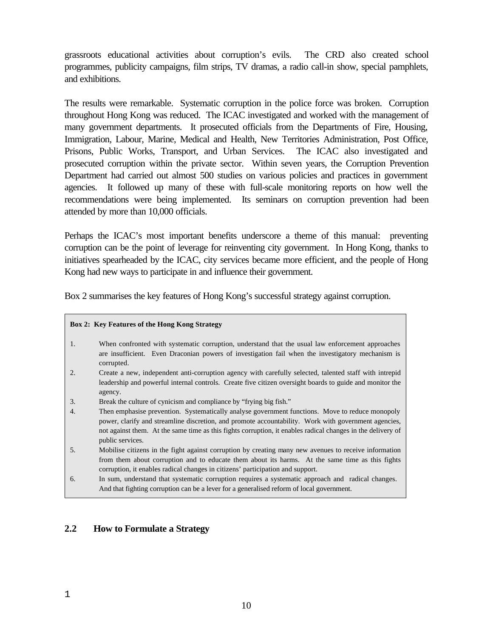grassroots educational activities about corruption's evils. The CRD also created school programmes, publicity campaigns, film strips, TV dramas, a radio call-in show, special pamphlets, and exhibitions.

The results were remarkable. Systematic corruption in the police force was broken. Corruption throughout Hong Kong was reduced. The ICAC investigated and worked with the management of many government departments. It prosecuted officials from the Departments of Fire, Housing, Immigration, Labour, Marine, Medical and Health, New Territories Administration, Post Office, Prisons, Public Works, Transport, and Urban Services. The ICAC also investigated and prosecuted corruption within the private sector. Within seven years, the Corruption Prevention Department had carried out almost 500 studies on various policies and practices in government agencies. It followed up many of these with full-scale monitoring reports on how well the recommendations were being implemented. Its seminars on corruption prevention had been attended by more than 10,000 officials.

Perhaps the ICAC's most important benefits underscore a theme of this manual: preventing corruption can be the point of leverage for reinventing city government. In Hong Kong, thanks to initiatives spearheaded by the ICAC, city services became more efficient, and the people of Hong Kong had new ways to participate in and influence their government.

Box 2 summarises the key features of Hong Kong's successful strategy against corruption.

#### **Box 2: Key Features of the Hong Kong Strategy**

- 1. When confronted with systematic corruption, understand that the usual law enforcement approaches are insufficient. Even Draconian powers of investigation fail when the investigatory mechanism is corrupted.
- 2. Create a new, independent anti-corruption agency with carefully selected, talented staff with intrepid leadership and powerful internal controls. Create five citizen oversight boards to guide and monitor the agency.
- 3. Break the culture of cynicism and compliance by "frying big fish."
- 4. Then emphasise prevention. Systematically analyse government functions. Move to reduce monopoly power, clarify and streamline discretion, and promote accountability. Work with government agencies, not against them. At the same time as this fights corruption, it enables radical changes in the delivery of public services.
- 5. Mobilise citizens in the fight against corruption by creating many new avenues to receive information from them about corruption and to educate them about its harms. At the same time as this fights corruption, it enables radical changes in citizens' participation and support.
- 6. In sum, understand that systematic corruption requires a systematic approach and radical changes. And that fighting corruption can be a lever for a generalised reform of local government.

### **2.2 How to Formulate a Strategy**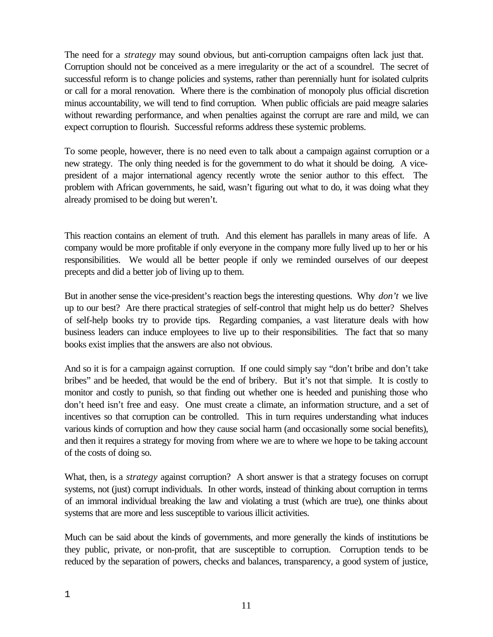The need for a *strategy* may sound obvious, but anti-corruption campaigns often lack just that. Corruption should not be conceived as a mere irregularity or the act of a scoundrel. The secret of successful reform is to change policies and systems, rather than perennially hunt for isolated culprits or call for a moral renovation. Where there is the combination of monopoly plus official discretion minus accountability, we will tend to find corruption. When public officials are paid meagre salaries without rewarding performance, and when penalties against the corrupt are rare and mild, we can expect corruption to flourish. Successful reforms address these systemic problems.

To some people, however, there is no need even to talk about a campaign against corruption or a new strategy. The only thing needed is for the government to do what it should be doing. A vicepresident of a major international agency recently wrote the senior author to this effect. The problem with African governments, he said, wasn't figuring out what to do, it was doing what they already promised to be doing but weren't.

This reaction contains an element of truth. And this element has parallels in many areas of life. A company would be more profitable if only everyone in the company more fully lived up to her or his responsibilities. We would all be better people if only we reminded ourselves of our deepest precepts and did a better job of living up to them.

But in another sense the vice-president's reaction begs the interesting questions. Why *don't* we live up to our best? Are there practical strategies of self-control that might help us do better? Shelves of self-help books try to provide tips. Regarding companies, a vast literature deals with how business leaders can induce employees to live up to their responsibilities. The fact that so many books exist implies that the answers are also not obvious.

And so it is for a campaign against corruption. If one could simply say "don't bribe and don't take bribes" and be heeded, that would be the end of bribery. But it's not that simple. It is costly to monitor and costly to punish, so that finding out whether one is heeded and punishing those who don't heed isn't free and easy. One must create a climate, an information structure, and a set of incentives so that corruption can be controlled. This in turn requires understanding what induces various kinds of corruption and how they cause social harm (and occasionally some social benefits), and then it requires a strategy for moving from where we are to where we hope to be taking account of the costs of doing so.

What, then, is a *strategy* against corruption? A short answer is that a strategy focuses on corrupt systems, not (just) corrupt individuals. In other words, instead of thinking about corruption in terms of an immoral individual breaking the law and violating a trust (which are true), one thinks about systems that are more and less susceptible to various illicit activities.

Much can be said about the kinds of governments, and more generally the kinds of institutions be they public, private, or non-profit, that are susceptible to corruption. Corruption tends to be reduced by the separation of powers, checks and balances, transparency, a good system of justice,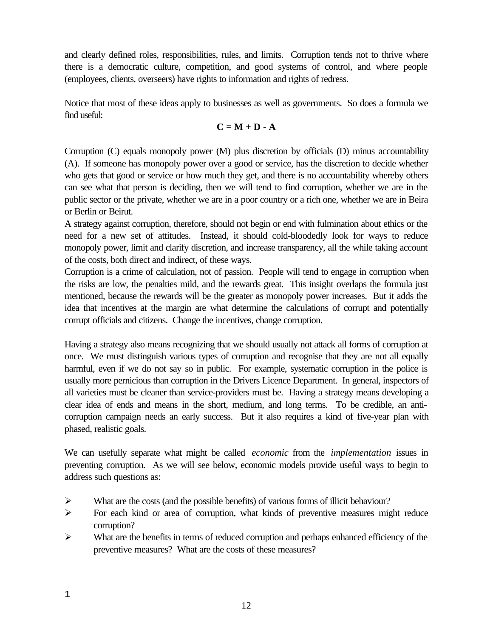and clearly defined roles, responsibilities, rules, and limits. Corruption tends not to thrive where there is a democratic culture, competition, and good systems of control, and where people (employees, clients, overseers) have rights to information and rights of redress.

Notice that most of these ideas apply to businesses as well as governments. So does a formula we find useful:

$$
C = M + D - A
$$

Corruption (C) equals monopoly power (M) plus discretion by officials (D) minus accountability (A). If someone has monopoly power over a good or service, has the discretion to decide whether who gets that good or service or how much they get, and there is no accountability whereby others can see what that person is deciding, then we will tend to find corruption, whether we are in the public sector or the private, whether we are in a poor country or a rich one, whether we are in Beira or Berlin or Beirut.

A strategy against corruption, therefore, should not begin or end with fulmination about ethics or the need for a new set of attitudes. Instead, it should cold-bloodedly look for ways to reduce monopoly power, limit and clarify discretion, and increase transparency, all the while taking account of the costs, both direct and indirect, of these ways.

Corruption is a crime of calculation, not of passion. People will tend to engage in corruption when the risks are low, the penalties mild, and the rewards great. This insight overlaps the formula just mentioned, because the rewards will be the greater as monopoly power increases. But it adds the idea that incentives at the margin are what determine the calculations of corrupt and potentially corrupt officials and citizens. Change the incentives, change corruption.

Having a strategy also means recognizing that we should usually not attack all forms of corruption at once. We must distinguish various types of corruption and recognise that they are not all equally harmful, even if we do not say so in public. For example, systematic corruption in the police is usually more pernicious than corruption in the Drivers Licence Department. In general, inspectors of all varieties must be cleaner than service-providers must be. Having a strategy means developing a clear idea of ends and means in the short, medium, and long terms. To be credible, an anticorruption campaign needs an early success. But it also requires a kind of five-year plan with phased, realistic goals.

We can usefully separate what might be called *economic* from the *implementation* issues in preventing corruption. As we will see below, economic models provide useful ways to begin to address such questions as:

- $\triangleright$  What are the costs (and the possible benefits) of various forms of illicit behaviour?
- $\triangleright$  For each kind or area of corruption, what kinds of preventive measures might reduce corruption?
- $\triangleright$  What are the benefits in terms of reduced corruption and perhaps enhanced efficiency of the preventive measures? What are the costs of these measures?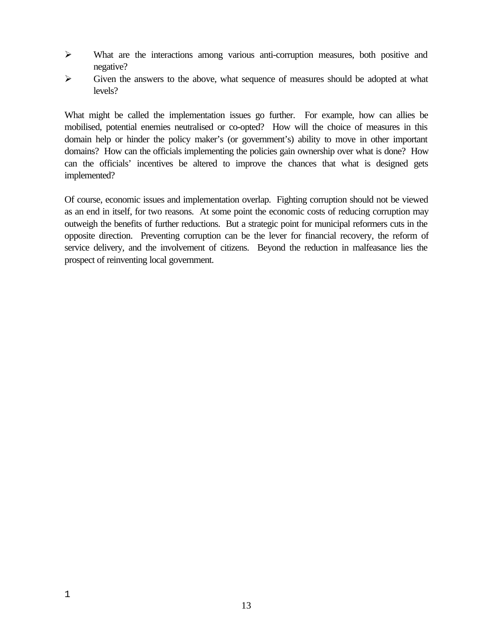- ÿ What are the interactions among various anti-corruption measures, both positive and negative?
- $\triangleright$  Given the answers to the above, what sequence of measures should be adopted at what levels?

What might be called the implementation issues go further. For example, how can allies be mobilised, potential enemies neutralised or co-opted? How will the choice of measures in this domain help or hinder the policy maker's (or government's) ability to move in other important domains? How can the officials implementing the policies gain ownership over what is done? How can the officials' incentives be altered to improve the chances that what is designed gets implemented?

Of course, economic issues and implementation overlap. Fighting corruption should not be viewed as an end in itself, for two reasons. At some point the economic costs of reducing corruption may outweigh the benefits of further reductions. But a strategic point for municipal reformers cuts in the opposite direction. Preventing corruption can be the lever for financial recovery, the reform of service delivery, and the involvement of citizens. Beyond the reduction in malfeasance lies the prospect of reinventing local government.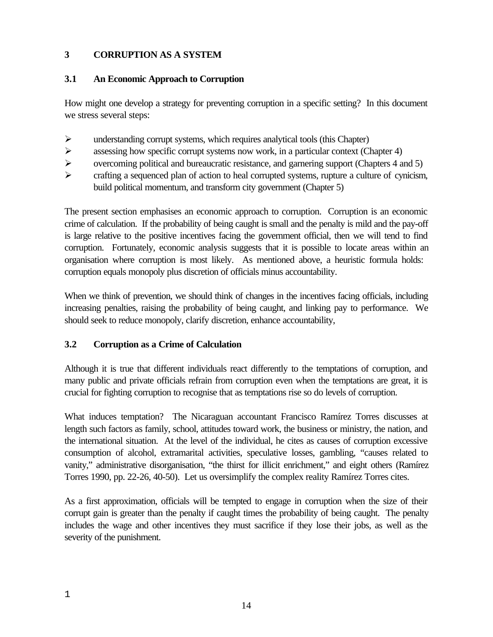## **3 CORRUPTION AS A SYSTEM**

## **3.1 An Economic Approach to Corruption**

How might one develop a strategy for preventing corruption in a specific setting? In this document we stress several steps:

- $\triangleright$  understanding corrupt systems, which requires analytical tools (this Chapter)
- $\triangleright$  assessing how specific corrupt systems now work, in a particular context (Chapter 4)
- $\triangleright$  overcoming political and bureaucratic resistance, and garnering support (Chapters 4 and 5)
- $\triangleright$  crafting a sequenced plan of action to heal corrupted systems, rupture a culture of cynicism, build political momentum, and transform city government (Chapter 5)

The present section emphasises an economic approach to corruption. Corruption is an economic crime of calculation. If the probability of being caught is small and the penalty is mild and the pay-off is large relative to the positive incentives facing the government official, then we will tend to find corruption. Fortunately, economic analysis suggests that it is possible to locate areas within an organisation where corruption is most likely. As mentioned above, a heuristic formula holds: corruption equals monopoly plus discretion of officials minus accountability.

When we think of prevention, we should think of changes in the incentives facing officials, including increasing penalties, raising the probability of being caught, and linking pay to performance. We should seek to reduce monopoly, clarify discretion, enhance accountability,

## **3.2 Corruption as a Crime of Calculation**

Although it is true that different individuals react differently to the temptations of corruption, and many public and private officials refrain from corruption even when the temptations are great, it is crucial for fighting corruption to recognise that as temptations rise so do levels of corruption.

What induces temptation? The Nicaraguan accountant Francisco Ramírez Torres discusses at length such factors as family, school, attitudes toward work, the business or ministry, the nation, and the international situation. At the level of the individual, he cites as causes of corruption excessive consumption of alcohol, extramarital activities, speculative losses, gambling, "causes related to vanity," administrative disorganisation, "the thirst for illicit enrichment," and eight others (Ramírez Torres 1990, pp. 22-26, 40-50). Let us oversimplify the complex reality Ramírez Torres cites.

As a first approximation, officials will be tempted to engage in corruption when the size of their corrupt gain is greater than the penalty if caught times the probability of being caught. The penalty includes the wage and other incentives they must sacrifice if they lose their jobs, as well as the severity of the punishment.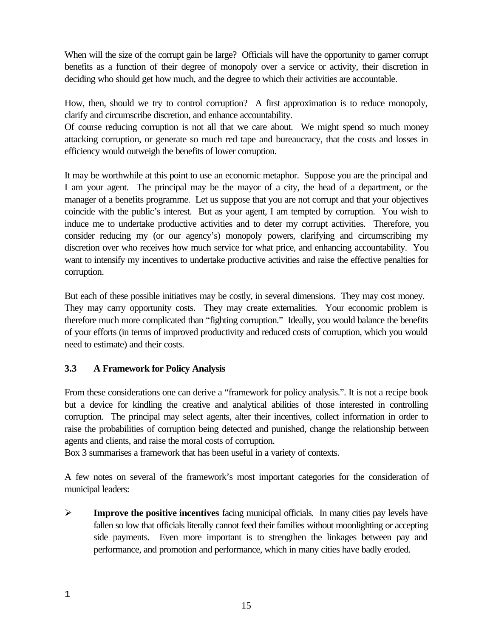When will the size of the corrupt gain be large? Officials will have the opportunity to garner corrupt benefits as a function of their degree of monopoly over a service or activity, their discretion in deciding who should get how much, and the degree to which their activities are accountable.

How, then, should we try to control corruption? A first approximation is to reduce monopoly, clarify and circumscribe discretion, and enhance accountability.

Of course reducing corruption is not all that we care about. We might spend so much money attacking corruption, or generate so much red tape and bureaucracy, that the costs and losses in efficiency would outweigh the benefits of lower corruption.

It may be worthwhile at this point to use an economic metaphor. Suppose you are the principal and I am your agent. The principal may be the mayor of a city, the head of a department, or the manager of a benefits programme. Let us suppose that you are not corrupt and that your objectives coincide with the public's interest. But as your agent, I am tempted by corruption. You wish to induce me to undertake productive activities and to deter my corrupt activities. Therefore, you consider reducing my (or our agency's) monopoly powers, clarifying and circumscribing my discretion over who receives how much service for what price, and enhancing accountability. You want to intensify my incentives to undertake productive activities and raise the effective penalties for corruption.

But each of these possible initiatives may be costly, in several dimensions. They may cost money. They may carry opportunity costs. They may create externalities. Your economic problem is therefore much more complicated than "fighting corruption." Ideally, you would balance the benefits of your efforts (in terms of improved productivity and reduced costs of corruption, which you would need to estimate) and their costs.

## **3.3 A Framework for Policy Analysis**

From these considerations one can derive a "framework for policy analysis.". It is not a recipe book but a device for kindling the creative and analytical abilities of those interested in controlling corruption. The principal may select agents, alter their incentives, collect information in order to raise the probabilities of corruption being detected and punished, change the relationship between agents and clients, and raise the moral costs of corruption.

Box 3 summarises a framework that has been useful in a variety of contexts.

A few notes on several of the framework's most important categories for the consideration of municipal leaders:

ÿ **Improve the positive incentives** facing municipal officials. In many cities pay levels have fallen so low that officials literally cannot feed their families without moonlighting or accepting side payments. Even more important is to strengthen the linkages between pay and performance, and promotion and performance, which in many cities have badly eroded.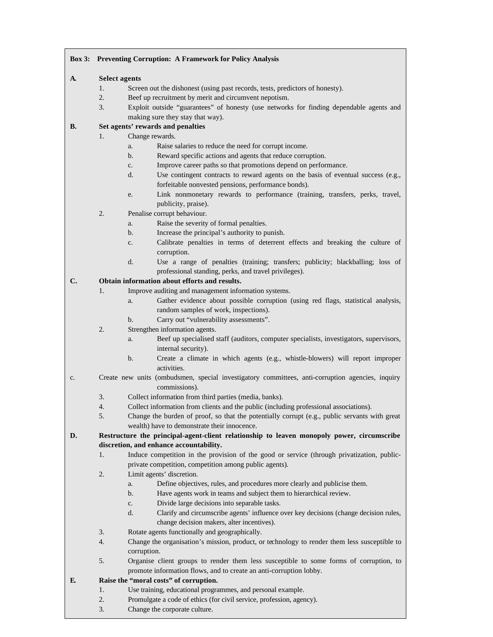| <b>Box 3:</b>  | <b>Preventing Corruption: A Framework for Policy Analysis</b> |                                                                                                                                       |  |  |
|----------------|---------------------------------------------------------------|---------------------------------------------------------------------------------------------------------------------------------------|--|--|
| A.             | <b>Select agents</b>                                          |                                                                                                                                       |  |  |
|                | 1.                                                            | Screen out the dishonest (using past records, tests, predictors of honesty).                                                          |  |  |
|                | 2.                                                            | Beef up recruitment by merit and circumvent nepotism.                                                                                 |  |  |
|                | 3.                                                            | Exploit outside "guarantees" of honesty (use networks for finding dependable agents and                                               |  |  |
|                | making sure they stay that way).                              |                                                                                                                                       |  |  |
| В.             |                                                               | Set agents' rewards and penalties                                                                                                     |  |  |
|                | 1.                                                            | Change rewards.                                                                                                                       |  |  |
|                |                                                               | Raise salaries to reduce the need for corrupt income.<br>a.                                                                           |  |  |
|                |                                                               | b.<br>Reward specific actions and agents that reduce corruption.                                                                      |  |  |
|                |                                                               | Improve career paths so that promotions depend on performance.<br>c.                                                                  |  |  |
|                |                                                               | Use contingent contracts to reward agents on the basis of eventual success (e.g.,<br>d.                                               |  |  |
|                |                                                               | forfeitable nonvested pensions, performance bonds).                                                                                   |  |  |
|                |                                                               | Link nonmonetary rewards to performance (training, transfers, perks, travel,<br>e.                                                    |  |  |
|                |                                                               | publicity, praise).                                                                                                                   |  |  |
|                | 2.                                                            | Penalise corrupt behaviour.                                                                                                           |  |  |
|                |                                                               | Raise the severity of formal penalties.<br>a.                                                                                         |  |  |
|                |                                                               | b.<br>Increase the principal's authority to punish.                                                                                   |  |  |
|                |                                                               | Calibrate penalties in terms of deterrent effects and breaking the culture of<br>c.                                                   |  |  |
|                |                                                               | corruption.                                                                                                                           |  |  |
|                |                                                               | d.<br>Use a range of penalties (training; transfers; publicity; blackballing; loss of                                                 |  |  |
| $\mathbf{C}$ . |                                                               | professional standing, perks, and travel privileges).<br>Obtain information about efforts and results.                                |  |  |
|                | 1.                                                            | Improve auditing and management information systems.                                                                                  |  |  |
|                |                                                               | Gather evidence about possible corruption (using red flags, statistical analysis,<br>a.                                               |  |  |
|                |                                                               | random samples of work, inspections).                                                                                                 |  |  |
|                |                                                               | Carry out "vulnerability assessments".<br>b.                                                                                          |  |  |
|                | 2.                                                            | Strengthen information agents.                                                                                                        |  |  |
|                |                                                               | Beef up specialised staff (auditors, computer specialists, investigators, supervisors,<br>a.                                          |  |  |
|                |                                                               | internal security).                                                                                                                   |  |  |
|                |                                                               | b.<br>Create a climate in which agents (e.g., whistle-blowers) will report improper                                                   |  |  |
|                |                                                               | activities.                                                                                                                           |  |  |
| c.             |                                                               | Create new units (ombudsmen, special investigatory committees, anti-corruption agencies, inquiry                                      |  |  |
|                |                                                               | commissions).                                                                                                                         |  |  |
|                | 3.                                                            | Collect information from third parties (media, banks).                                                                                |  |  |
|                | 4.                                                            | Collect information from clients and the public (including professional associations).                                                |  |  |
|                | 5.                                                            | Change the burden of proof, so that the potentially corrupt (e.g., public servants with great                                         |  |  |
|                |                                                               | wealth) have to demonstrate their innocence.                                                                                          |  |  |
| D.             |                                                               | Restructure the principal-agent-client relationship to leaven monopoly power, circumscribe<br>discretion, and enhance accountability. |  |  |
|                | 1.                                                            | Induce competition in the provision of the good or service (through privatization, public-                                            |  |  |
|                |                                                               | private competition, competition among public agents).                                                                                |  |  |
|                | 2.                                                            | Limit agents' discretion.                                                                                                             |  |  |
|                |                                                               | Define objectives, rules, and procedures more clearly and publicise them.<br>a.                                                       |  |  |
|                |                                                               | Have agents work in teams and subject them to hierarchical review.<br>b.                                                              |  |  |
|                |                                                               | Divide large decisions into separable tasks.<br>c.                                                                                    |  |  |
|                |                                                               | Clarify and circumscribe agents' influence over key decisions (change decision rules,<br>d.                                           |  |  |
|                |                                                               | change decision makers, alter incentives).                                                                                            |  |  |
|                | 3.                                                            | Rotate agents functionally and geographically.                                                                                        |  |  |
|                | 4.                                                            | Change the organisation's mission, product, or technology to render them less susceptible to                                          |  |  |
|                |                                                               | corruption.                                                                                                                           |  |  |
|                | 5.                                                            | Organise client groups to render them less susceptible to some forms of corruption, to                                                |  |  |
|                |                                                               | promote information flows, and to create an anti-corruption lobby.                                                                    |  |  |
| E.             |                                                               | Raise the "moral costs" of corruption.                                                                                                |  |  |
|                | 1.                                                            | Use training, educational programmes, and personal example.                                                                           |  |  |
|                | 2.                                                            | Promulgate a code of ethics (for civil service, profession, agency).                                                                  |  |  |
|                | 3.<br>Change the corporate culture.                           |                                                                                                                                       |  |  |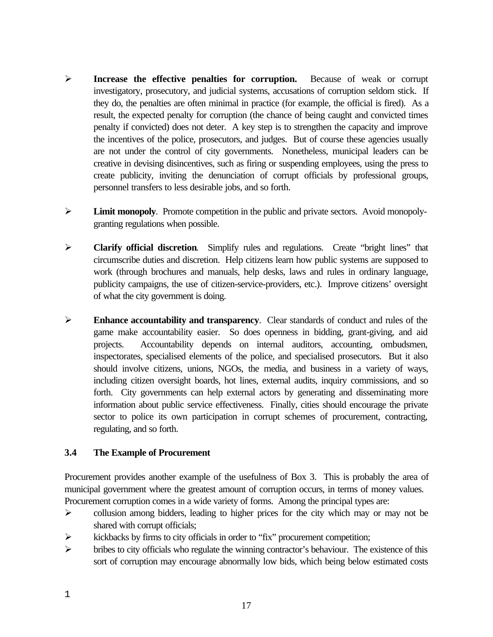- ÿ **Increase the effective penalties for corruption.** Because of weak or corrupt investigatory, prosecutory, and judicial systems, accusations of corruption seldom stick. If they do, the penalties are often minimal in practice (for example, the official is fired). As a result, the expected penalty for corruption (the chance of being caught and convicted times penalty if convicted) does not deter. A key step is to strengthen the capacity and improve the incentives of the police, prosecutors, and judges. But of course these agencies usually are not under the control of city governments. Nonetheless, municipal leaders can be creative in devising disincentives, such as firing or suspending employees, using the press to create publicity, inviting the denunciation of corrupt officials by professional groups, personnel transfers to less desirable jobs, and so forth.
- $\triangleright$  **Limit monopoly**. Promote competition in the public and private sectors. Avoid monopolygranting regulations when possible.
- ÿ **Clarify official discretion**. Simplify rules and regulations. Create "bright lines" that circumscribe duties and discretion. Help citizens learn how public systems are supposed to work (through brochures and manuals, help desks, laws and rules in ordinary language, publicity campaigns, the use of citizen-service-providers, etc.). Improve citizens' oversight of what the city government is doing.
- **Enhance accountability and transparency.** Clear standards of conduct and rules of the game make accountability easier. So does openness in bidding, grant-giving, and aid projects. Accountability depends on internal auditors, accounting, ombudsmen, inspectorates, specialised elements of the police, and specialised prosecutors. But it also should involve citizens, unions, NGOs, the media, and business in a variety of ways, including citizen oversight boards, hot lines, external audits, inquiry commissions, and so forth. City governments can help external actors by generating and disseminating more information about public service effectiveness. Finally, cities should encourage the private sector to police its own participation in corrupt schemes of procurement, contracting, regulating, and so forth.

## **3.4 The Example of Procurement**

Procurement provides another example of the usefulness of Box 3. This is probably the area of municipal government where the greatest amount of corruption occurs, in terms of money values. Procurement corruption comes in a wide variety of forms. Among the principal types are:

- $\triangleright$  collusion among bidders, leading to higher prices for the city which may or may not be shared with corrupt officials;
- $\triangleright$  kickbacks by firms to city officials in order to "fix" procurement competition;
- $\triangleright$  bribes to city officials who regulate the winning contractor's behaviour. The existence of this sort of corruption may encourage abnormally low bids, which being below estimated costs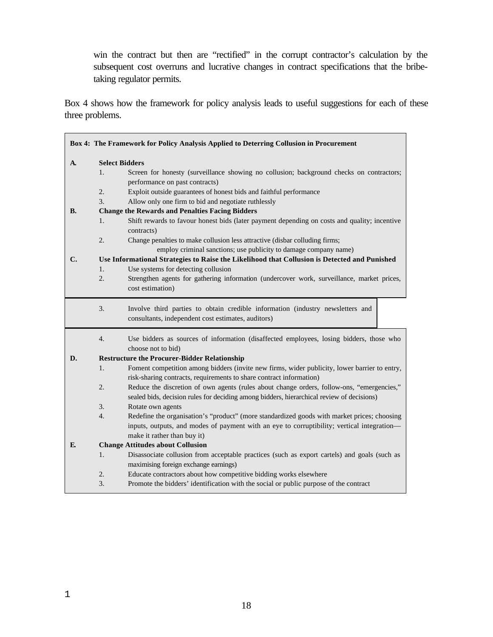win the contract but then are "rectified" in the corrupt contractor's calculation by the subsequent cost overruns and lucrative changes in contract specifications that the bribetaking regulator permits.

Box 4 shows how the framework for policy analysis leads to useful suggestions for each of these three problems.

| Box 4: The Framework for Policy Analysis Applied to Deterring Collusion in Procurement |                                                                                                                                                                           |                                                                                                                                                                                         |  |  |  |
|----------------------------------------------------------------------------------------|---------------------------------------------------------------------------------------------------------------------------------------------------------------------------|-----------------------------------------------------------------------------------------------------------------------------------------------------------------------------------------|--|--|--|
| A.                                                                                     | <b>Select Bidders</b>                                                                                                                                                     |                                                                                                                                                                                         |  |  |  |
|                                                                                        | 1.                                                                                                                                                                        | Screen for honesty (surveillance showing no collusion; background checks on contractors;                                                                                                |  |  |  |
|                                                                                        | 2.                                                                                                                                                                        | performance on past contracts)<br>Exploit outside guarantees of honest bids and faithful performance                                                                                    |  |  |  |
|                                                                                        | 3.                                                                                                                                                                        | Allow only one firm to bid and negotiate ruthlessly                                                                                                                                     |  |  |  |
| В.                                                                                     | <b>Change the Rewards and Penalties Facing Bidders</b>                                                                                                                    |                                                                                                                                                                                         |  |  |  |
|                                                                                        | 1.                                                                                                                                                                        | Shift rewards to favour honest bids (later payment depending on costs and quality; incentive<br>contracts)                                                                              |  |  |  |
|                                                                                        | 2.                                                                                                                                                                        | Change penalties to make collusion less attractive (disbar colluding firms;                                                                                                             |  |  |  |
|                                                                                        |                                                                                                                                                                           | employ criminal sanctions; use publicity to damage company name)                                                                                                                        |  |  |  |
| C.                                                                                     |                                                                                                                                                                           | Use Informational Strategies to Raise the Likelihood that Collusion is Detected and Punished                                                                                            |  |  |  |
|                                                                                        | 1.                                                                                                                                                                        | Use systems for detecting collusion                                                                                                                                                     |  |  |  |
|                                                                                        | $\overline{2}$ .                                                                                                                                                          | Strengthen agents for gathering information (undercover work, surveillance, market prices,                                                                                              |  |  |  |
|                                                                                        |                                                                                                                                                                           | cost estimation)                                                                                                                                                                        |  |  |  |
|                                                                                        | 3.                                                                                                                                                                        | Involve third parties to obtain credible information (industry newsletters and<br>consultants, independent cost estimates, auditors)                                                    |  |  |  |
|                                                                                        | $\overline{4}$ .                                                                                                                                                          | Use bidders as sources of information (disaffected employees, losing bidders, those who<br>choose not to bid)                                                                           |  |  |  |
| D.                                                                                     |                                                                                                                                                                           | <b>Restructure the Procurer-Bidder Relationship</b>                                                                                                                                     |  |  |  |
|                                                                                        | Foment competition among bidders (invite new firms, wider publicity, lower barrier to entry,<br>1.<br>risk-sharing contracts, requirements to share contract information) |                                                                                                                                                                                         |  |  |  |
|                                                                                        | 2.                                                                                                                                                                        | Reduce the discretion of own agents (rules about change orders, follow-ons, "emergencies,"<br>sealed bids, decision rules for deciding among bidders, hierarchical review of decisions) |  |  |  |
|                                                                                        | 3.                                                                                                                                                                        | Rotate own agents                                                                                                                                                                       |  |  |  |
|                                                                                        | $\overline{4}$ .                                                                                                                                                          | Redefine the organisation's "product" (more standardized goods with market prices; choosing                                                                                             |  |  |  |
|                                                                                        |                                                                                                                                                                           | inputs, outputs, and modes of payment with an eye to corruptibility; vertical integration—                                                                                              |  |  |  |
|                                                                                        |                                                                                                                                                                           | make it rather than buy it)                                                                                                                                                             |  |  |  |
| E.                                                                                     |                                                                                                                                                                           | <b>Change Attitudes about Collusion</b>                                                                                                                                                 |  |  |  |
|                                                                                        | 1.                                                                                                                                                                        | Disassociate collusion from acceptable practices (such as export cartels) and goals (such as<br>maximising foreign exchange earnings)                                                   |  |  |  |
|                                                                                        | 2.                                                                                                                                                                        | Educate contractors about how competitive bidding works elsewhere                                                                                                                       |  |  |  |
|                                                                                        | 3.                                                                                                                                                                        | Promote the bidders' identification with the social or public purpose of the contract                                                                                                   |  |  |  |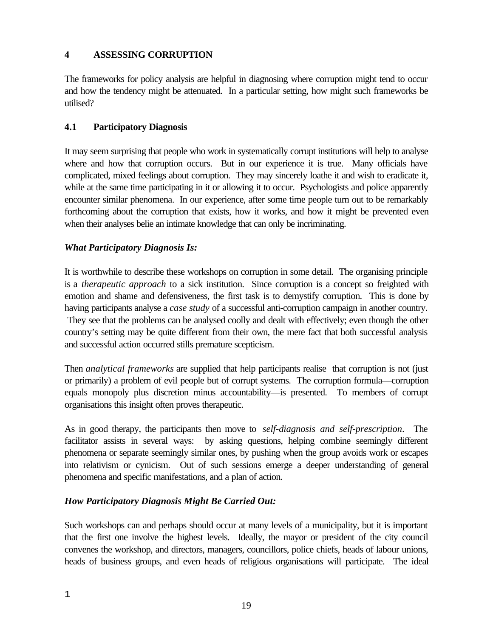## **4 ASSESSING CORRUPTION**

The frameworks for policy analysis are helpful in diagnosing where corruption might tend to occur and how the tendency might be attenuated. In a particular setting, how might such frameworks be utilised?

## **4.1 Participatory Diagnosis**

It may seem surprising that people who work in systematically corrupt institutions will help to analyse where and how that corruption occurs. But in our experience it is true. Many officials have complicated, mixed feelings about corruption. They may sincerely loathe it and wish to eradicate it, while at the same time participating in it or allowing it to occur. Psychologists and police apparently encounter similar phenomena. In our experience, after some time people turn out to be remarkably forthcoming about the corruption that exists, how it works, and how it might be prevented even when their analyses belie an intimate knowledge that can only be incriminating.

## *What Participatory Diagnosis Is:*

It is worthwhile to describe these workshops on corruption in some detail. The organising principle is a *therapeutic approach* to a sick institution. Since corruption is a concept so freighted with emotion and shame and defensiveness, the first task is to demystify corruption. This is done by having participants analyse a *case study* of a successful anti-corruption campaign in another country. They see that the problems can be analysed coolly and dealt with effectively; even though the other country's setting may be quite different from their own, the mere fact that both successful analysis and successful action occurred stills premature scepticism.

Then *analytical frameworks* are supplied that help participants realise that corruption is not (just or primarily) a problem of evil people but of corrupt systems. The corruption formula—corruption equals monopoly plus discretion minus accountability—is presented. To members of corrupt organisations this insight often proves therapeutic.

As in good therapy, the participants then move to *self-diagnosis and self-prescription*. The facilitator assists in several ways: by asking questions, helping combine seemingly different phenomena or separate seemingly similar ones, by pushing when the group avoids work or escapes into relativism or cynicism. Out of such sessions emerge a deeper understanding of general phenomena and specific manifestations, and a plan of action.

## *How Participatory Diagnosis Might Be Carried Out:*

Such workshops can and perhaps should occur at many levels of a municipality, but it is important that the first one involve the highest levels. Ideally, the mayor or president of the city council convenes the workshop, and directors, managers, councillors, police chiefs, heads of labour unions, heads of business groups, and even heads of religious organisations will participate. The ideal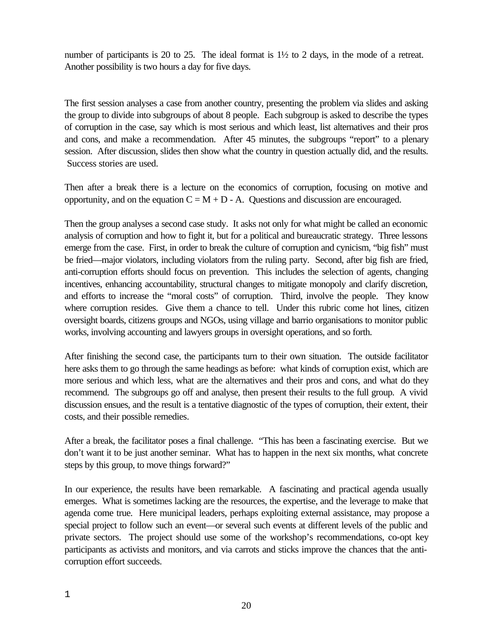number of participants is 20 to 25. The ideal format is 1½ to 2 days, in the mode of a retreat. Another possibility is two hours a day for five days.

The first session analyses a case from another country, presenting the problem via slides and asking the group to divide into subgroups of about 8 people. Each subgroup is asked to describe the types of corruption in the case, say which is most serious and which least, list alternatives and their pros and cons, and make a recommendation. After 45 minutes, the subgroups "report" to a plenary session. After discussion, slides then show what the country in question actually did, and the results. Success stories are used.

Then after a break there is a lecture on the economics of corruption, focusing on motive and opportunity, and on the equation  $C = M + D - A$ . Questions and discussion are encouraged.

Then the group analyses a second case study. It asks not only for what might be called an economic analysis of corruption and how to fight it, but for a political and bureaucratic strategy. Three lessons emerge from the case. First, in order to break the culture of corruption and cynicism, "big fish" must be fried—major violators, including violators from the ruling party. Second, after big fish are fried, anti-corruption efforts should focus on prevention. This includes the selection of agents, changing incentives, enhancing accountability, structural changes to mitigate monopoly and clarify discretion, and efforts to increase the "moral costs" of corruption. Third, involve the people. They know where corruption resides. Give them a chance to tell. Under this rubric come hot lines, citizen oversight boards, citizens groups and NGOs, using village and barrio organisations to monitor public works, involving accounting and lawyers groups in oversight operations, and so forth.

After finishing the second case, the participants turn to their own situation. The outside facilitator here asks them to go through the same headings as before: what kinds of corruption exist, which are more serious and which less, what are the alternatives and their pros and cons, and what do they recommend. The subgroups go off and analyse, then present their results to the full group. A vivid discussion ensues, and the result is a tentative diagnostic of the types of corruption, their extent, their costs, and their possible remedies.

After a break, the facilitator poses a final challenge. "This has been a fascinating exercise. But we don't want it to be just another seminar. What has to happen in the next six months, what concrete steps by this group, to move things forward?"

In our experience, the results have been remarkable. A fascinating and practical agenda usually emerges. What is sometimes lacking are the resources, the expertise, and the leverage to make that agenda come true. Here municipal leaders, perhaps exploiting external assistance, may propose a special project to follow such an event—or several such events at different levels of the public and private sectors. The project should use some of the workshop's recommendations, co-opt key participants as activists and monitors, and via carrots and sticks improve the chances that the anticorruption effort succeeds.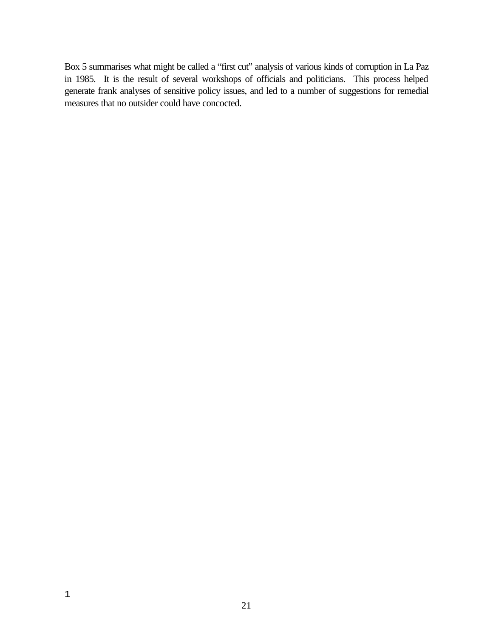Box 5 summarises what might be called a "first cut" analysis of various kinds of corruption in La Paz in 1985. It is the result of several workshops of officials and politicians. This process helped generate frank analyses of sensitive policy issues, and led to a number of suggestions for remedial measures that no outsider could have concocted.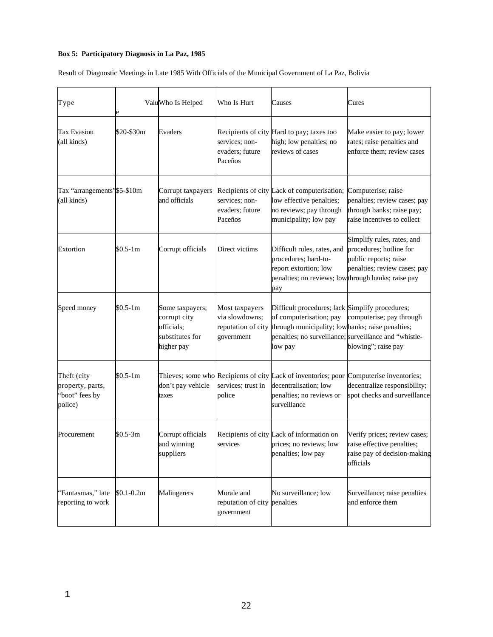#### **Box 5: Participatory Diagnosis in La Paz, 1985**

Result of Diagnostic Meetings in Late 1985 With Officials of the Municipal Government of La Paz, Bolivia

| Type                                                         |                | ValuWho Is Helped                                                              | Who Is Hurt                                                          | Causes                                                                                                                                    | Cures                                                                                                          |
|--------------------------------------------------------------|----------------|--------------------------------------------------------------------------------|----------------------------------------------------------------------|-------------------------------------------------------------------------------------------------------------------------------------------|----------------------------------------------------------------------------------------------------------------|
| <b>Tax Evasion</b><br>(all kinds)                            | \$20-\$30m     | Evaders                                                                        | services; non-<br>evaders; future<br>Paceños                         | Recipients of city Hard to pay; taxes too<br>high; low penalties; no<br>reviews of cases                                                  | Make easier to pay; lower<br>rates; raise penalties and<br>enforce them; review cases                          |
| Tax "arrangements" \$5-\$10m<br>(all kinds)                  |                | Corrupt taxpayers<br>and officials                                             | services; non-<br>evaders; future<br>Paceños                         | Recipients of city Lack of computerisation;<br>low effective penalties;<br>no reviews; pay through<br>municipality; low pay               | Computerise; raise<br>penalties; review cases; pay<br>through banks; raise pay;<br>raise incentives to collect |
| Extortion                                                    | $$0.5-1m$      | Corrupt officials                                                              | Direct victims                                                       | Difficult rules, rates, and<br>procedures; hard-to-<br>report extortion; low<br>penalties; no reviews; lowthrough banks; raise pay<br>pay | Simplify rules, rates, and<br>procedures; hotline for<br>public reports; raise<br>penalties; review cases; pay |
| Speed money                                                  | $$0.5-1m$      | Some taxpayers;<br>corrupt city<br>officials;<br>substitutes for<br>higher pay | Most taxpayers<br>via slowdowns;<br>reputation of city<br>government | Difficult procedures; lack Simplify procedures;<br>of computerisation; pay<br>through municipality; lowbanks; raise penalties;<br>low pay | computerise; pay through<br>penalties; no surveillance; surveillance and "whistle-<br>blowing"; raise pay      |
| Theft (city<br>property, parts,<br>'boot' fees by<br>police) | $$0.5-1m$      | don't pay vehicle<br>taxes                                                     | services; trust in<br>police                                         | Thieves; some who Recipients of city Lack of inventories; poor<br>decentralisation; low<br>penalties; no reviews or<br>surveillance       | Computerise inventories;<br>decentralize responsibility;<br>spot checks and surveillance                       |
| Procurement                                                  | $$0.5-3m$      | Corrupt officials<br>and winning<br>suppliers                                  | services                                                             | Recipients of city Lack of information on<br>prices; no reviews; low<br>penalties; low pay                                                | Verify prices; review cases;<br>raise effective penalties;<br>raise pay of decision-making<br>officials        |
| "Fantasmas," late<br>reporting to work                       | $$0.1 - 0.2m$$ | Malingerers                                                                    | Morale and<br>reputation of city penalties<br>government             | No surveillance; low                                                                                                                      | Surveillance; raise penalties<br>and enforce them                                                              |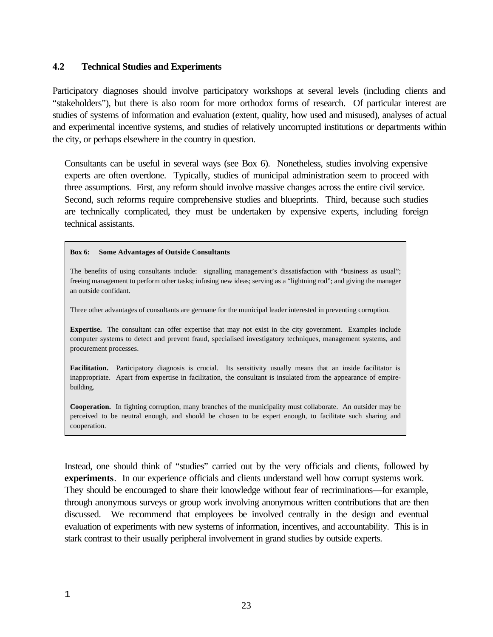### **4.2 Technical Studies and Experiments**

Participatory diagnoses should involve participatory workshops at several levels (including clients and "stakeholders"), but there is also room for more orthodox forms of research. Of particular interest are studies of systems of information and evaluation (extent, quality, how used and misused), analyses of actual and experimental incentive systems, and studies of relatively uncorrupted institutions or departments within the city, or perhaps elsewhere in the country in question.

Consultants can be useful in several ways (see Box 6). Nonetheless, studies involving expensive experts are often overdone. Typically, studies of municipal administration seem to proceed with three assumptions. First, any reform should involve massive changes across the entire civil service. Second, such reforms require comprehensive studies and blueprints. Third, because such studies are technically complicated, they must be undertaken by expensive experts, including foreign technical assistants.

#### **Box 6: Some Advantages of Outside Consultants**

The benefits of using consultants include: signalling management's dissatisfaction with "business as usual"; freeing management to perform other tasks; infusing new ideas; serving as a "lightning rod"; and giving the manager an outside confidant.

Three other advantages of consultants are germane for the municipal leader interested in preventing corruption.

**Expertise.** The consultant can offer expertise that may not exist in the city government. Examples include computer systems to detect and prevent fraud, specialised investigatory techniques, management systems, and procurement processes.

Facilitation. Participatory diagnosis is crucial. Its sensitivity usually means that an inside facilitator is inappropriate. Apart from expertise in facilitation, the consultant is insulated from the appearance of empirebuilding.

**Cooperation.** In fighting corruption, many branches of the municipality must collaborate. An outsider may be perceived to be neutral enough, and should be chosen to be expert enough, to facilitate such sharing and cooperation.

Instead, one should think of "studies" carried out by the very officials and clients, followed by **experiments**. In our experience officials and clients understand well how corrupt systems work. They should be encouraged to share their knowledge without fear of recriminations—for example, through anonymous surveys or group work involving anonymous written contributions that are then discussed. We recommend that employees be involved centrally in the design and eventual evaluation of experiments with new systems of information, incentives, and accountability. This is in stark contrast to their usually peripheral involvement in grand studies by outside experts.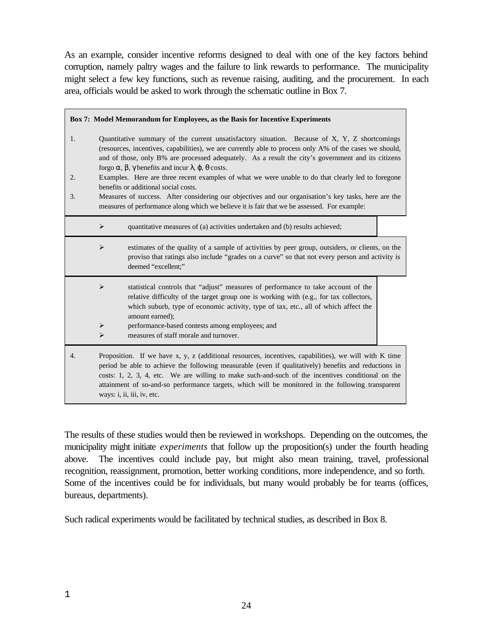As an example, consider incentive reforms designed to deal with one of the key factors behind corruption, namely paltry wages and the failure to link rewards to performance. The municipality might select a few key functions, such as revenue raising, auditing, and the procurement. In each area, officials would be asked to work through the schematic outline in Box 7.

| Box 7: Model Memorandum for Employees, as the Basis for Incentive Experiments |                                                                                                                                                                                                                                                                                                                                                                                                                                                        |  |  |  |
|-------------------------------------------------------------------------------|--------------------------------------------------------------------------------------------------------------------------------------------------------------------------------------------------------------------------------------------------------------------------------------------------------------------------------------------------------------------------------------------------------------------------------------------------------|--|--|--|
| 1.                                                                            | Quantitative summary of the current unsatisfactory situation. Because of X, Y, Z shortcomings<br>(resources, incentives, capabilities), we are currently able to process only A% of the cases we should,<br>and of those, only B% are processed adequately. As a result the city's government and its citizens<br>forgo $\alpha$ , $\beta$ , $\gamma$ benefits and incur $\lambda$ , $\varphi$ , $\theta$ costs.                                       |  |  |  |
| 2.                                                                            | Examples. Here are three recent examples of what we were unable to do that clearly led to foregone<br>benefits or additional social costs.                                                                                                                                                                                                                                                                                                             |  |  |  |
| 3.                                                                            | Measures of success. After considering our objectives and our organisation's key tasks, here are the<br>measures of performance along which we believe it is fair that we be assessed. For example:                                                                                                                                                                                                                                                    |  |  |  |
|                                                                               | $\blacktriangleright$<br>quantitative measures of (a) activities undertaken and (b) results achieved;                                                                                                                                                                                                                                                                                                                                                  |  |  |  |
|                                                                               | estimates of the quality of a sample of activities by peer group, outsiders, or clients, on the<br>➤<br>proviso that ratings also include "grades on a curve" so that not every person and activity is<br>deemed "excellent;"                                                                                                                                                                                                                          |  |  |  |
|                                                                               | statistical controls that "adjust" measures of performance to take account of the<br>➤<br>relative difficulty of the target group one is working with (e.g., for tax collectors,<br>which suburb, type of economic activity, type of tax, etc., all of which affect the<br>amount earned);<br>performance-based contests among employees; and<br>➤<br>measures of staff morale and turnover.<br>➤                                                      |  |  |  |
| 4.                                                                            | Proposition. If we have x, y, z (additional resources, incentives, capabilities), we will with K time<br>period be able to achieve the following measurable (even if qualitatively) benefits and reductions in<br>costs: 1, 2, 3, 4, etc. We are willing to make such-and-such of the incentives conditional on the<br>attainment of so-and-so performance targets, which will be monitored in the following transparent<br>ways: i, ii, iii, iv, etc. |  |  |  |

The results of these studies would then be reviewed in workshops. Depending on the outcomes, the municipality might initiate *experiments* that follow up the proposition(s) under the fourth heading above. The incentives could include pay, but might also mean training, travel, professional recognition, reassignment, promotion, better working conditions, more independence, and so forth. Some of the incentives could be for individuals, but many would probably be for teams (offices, bureaus, departments).

Such radical experiments would be facilitated by technical studies, as described in Box 8.

┌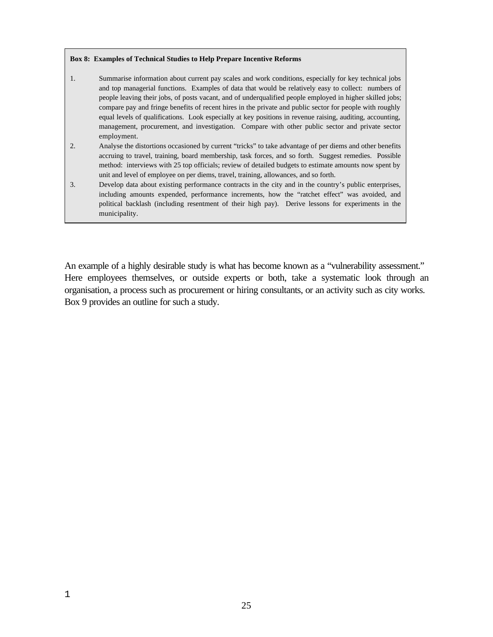#### **Box 8: Examples of Technical Studies to Help Prepare Incentive Reforms**

- 1. Summarise information about current pay scales and work conditions, especially for key technical jobs and top managerial functions. Examples of data that would be relatively easy to collect: numbers of people leaving their jobs, of posts vacant, and of underqualified people employed in higher skilled jobs; compare pay and fringe benefits of recent hires in the private and public sector for people with roughly equal levels of qualifications. Look especially at key positions in revenue raising, auditing, accounting, management, procurement, and investigation. Compare with other public sector and private sector employment.
- 2. Analyse the distortions occasioned by current "tricks" to take advantage of per diems and other benefits accruing to travel, training, board membership, task forces, and so forth. Suggest remedies. Possible method: interviews with 25 top officials; review of detailed budgets to estimate amounts now spent by unit and level of employee on per diems, travel, training, allowances, and so forth.
- 3. Develop data about existing performance contracts in the city and in the country's public enterprises, including amounts expended, performance increments, how the "ratchet effect" was avoided, and political backlash (including resentment of their high pay). Derive lessons for experiments in the municipality.

An example of a highly desirable study is what has become known as a "vulnerability assessment." Here employees themselves, or outside experts or both, take a systematic look through an organisation, a process such as procurement or hiring consultants, or an activity such as city works. Box 9 provides an outline for such a study.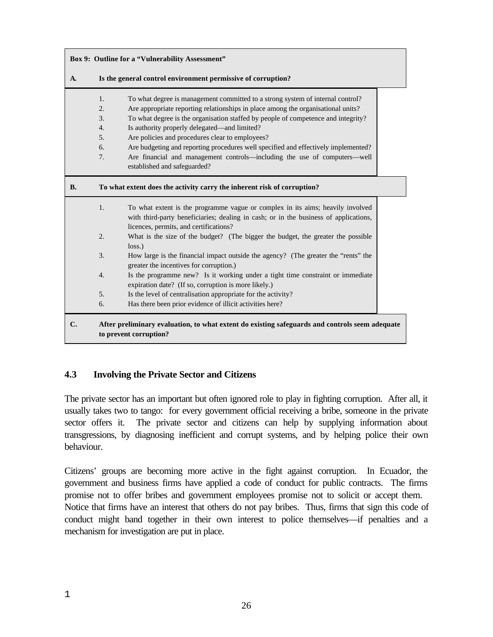| Box 9: Outline for a "Vulnerability Assessment" |                                                                                                                                                                                                                                                                                                                                                                                                                                                                                                                                                                                                         |  |  |  |
|-------------------------------------------------|---------------------------------------------------------------------------------------------------------------------------------------------------------------------------------------------------------------------------------------------------------------------------------------------------------------------------------------------------------------------------------------------------------------------------------------------------------------------------------------------------------------------------------------------------------------------------------------------------------|--|--|--|
| A.                                              | Is the general control environment permissive of corruption?                                                                                                                                                                                                                                                                                                                                                                                                                                                                                                                                            |  |  |  |
|                                                 | 1.<br>To what degree is management committed to a strong system of internal control?<br>Are appropriate reporting relationships in place among the organisational units?<br>2.<br>3.<br>To what degree is the organisation staffed by people of competence and integrity?<br>Is authority properly delegated—and limited?<br>4.<br>Are policies and procedures clear to employees?<br>5.<br>Are budgeting and reporting procedures well specified and effectively implemented?<br>6.<br>Are financial and management controls—including the use of computers—well<br>7.<br>established and safeguarded? |  |  |  |
| <b>B.</b>                                       | To what extent does the activity carry the inherent risk of corruption?                                                                                                                                                                                                                                                                                                                                                                                                                                                                                                                                 |  |  |  |
|                                                 | To what extent is the programme vague or complex in its aims; heavily involved<br>1.<br>with third-party beneficiaries; dealing in cash; or in the business of applications,<br>licences, permits, and certifications?                                                                                                                                                                                                                                                                                                                                                                                  |  |  |  |
|                                                 | 2.<br>What is the size of the budget? (The bigger the budget, the greater the possible<br>loss.                                                                                                                                                                                                                                                                                                                                                                                                                                                                                                         |  |  |  |
|                                                 | 3.<br>How large is the financial impact outside the agency? (The greater the "rents" the<br>greater the incentives for corruption.)                                                                                                                                                                                                                                                                                                                                                                                                                                                                     |  |  |  |
|                                                 | Is the programme new? Is it working under a tight time constraint or immediate<br>4.<br>expiration date? (If so, corruption is more likely.)                                                                                                                                                                                                                                                                                                                                                                                                                                                            |  |  |  |
|                                                 | Is the level of centralisation appropriate for the activity?<br>5.<br>Has there been prior evidence of illicit activities here?<br>6.                                                                                                                                                                                                                                                                                                                                                                                                                                                                   |  |  |  |
| C.                                              | After preliminary evaluation, to what extent do existing safeguards and controls seem adequate<br>to prevent corruption?                                                                                                                                                                                                                                                                                                                                                                                                                                                                                |  |  |  |

## **4.3 Involving the Private Sector and Citizens**

The private sector has an important but often ignored role to play in fighting corruption. After all, it usually takes two to tango: for every government official receiving a bribe, someone in the private sector offers it. The private sector and citizens can help by supplying information about transgressions, by diagnosing inefficient and corrupt systems, and by helping police their own behaviour.

Citizens' groups are becoming more active in the fight against corruption. In Ecuador, the government and business firms have applied a code of conduct for public contracts. The firms promise not to offer bribes and government employees promise not to solicit or accept them. Notice that firms have an interest that others do not pay bribes. Thus, firms that sign this code of conduct might band together in their own interest to police themselves—if penalties and a mechanism for investigation are put in place.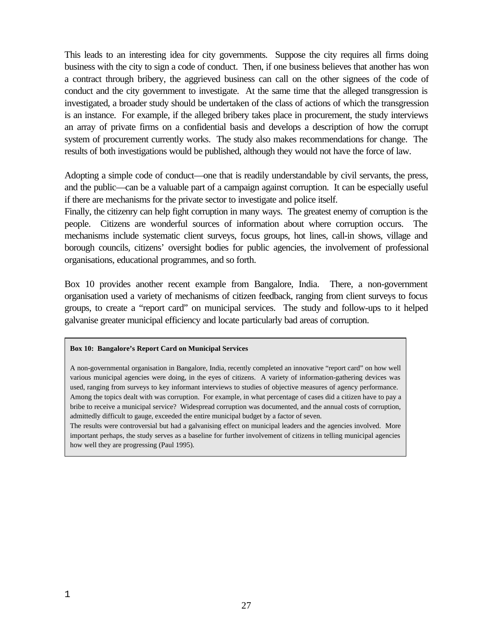This leads to an interesting idea for city governments. Suppose the city requires all firms doing business with the city to sign a code of conduct. Then, if one business believes that another has won a contract through bribery, the aggrieved business can call on the other signees of the code of conduct and the city government to investigate. At the same time that the alleged transgression is investigated, a broader study should be undertaken of the class of actions of which the transgression is an instance. For example, if the alleged bribery takes place in procurement, the study interviews an array of private firms on a confidential basis and develops a description of how the corrupt system of procurement currently works. The study also makes recommendations for change. The results of both investigations would be published, although they would not have the force of law.

Adopting a simple code of conduct—one that is readily understandable by civil servants, the press, and the public—can be a valuable part of a campaign against corruption. It can be especially useful if there are mechanisms for the private sector to investigate and police itself.

Finally, the citizenry can help fight corruption in many ways. The greatest enemy of corruption is the people. Citizens are wonderful sources of information about where corruption occurs. The mechanisms include systematic client surveys, focus groups, hot lines, call-in shows, village and borough councils, citizens' oversight bodies for public agencies, the involvement of professional organisations, educational programmes, and so forth.

Box 10 provides another recent example from Bangalore, India. There, a non-government organisation used a variety of mechanisms of citizen feedback, ranging from client surveys to focus groups, to create a "report card" on municipal services. The study and follow-ups to it helped galvanise greater municipal efficiency and locate particularly bad areas of corruption.

#### **Box 10: Bangalore's Report Card on Municipal Services**

A non-governmental organisation in Bangalore, India, recently completed an innovative "report card" on how well various municipal agencies were doing, in the eyes of citizens. A variety of information-gathering devices was used, ranging from surveys to key informant interviews to studies of objective measures of agency performance. Among the topics dealt with was corruption. For example, in what percentage of cases did a citizen have to pay a bribe to receive a municipal service? Widespread corruption was documented, and the annual costs of corruption, admittedly difficult to gauge, exceeded the entire municipal budget by a factor of seven.

The results were controversial but had a galvanising effect on municipal leaders and the agencies involved. More important perhaps, the study serves as a baseline for further involvement of citizens in telling municipal agencies how well they are progressing (Paul 1995).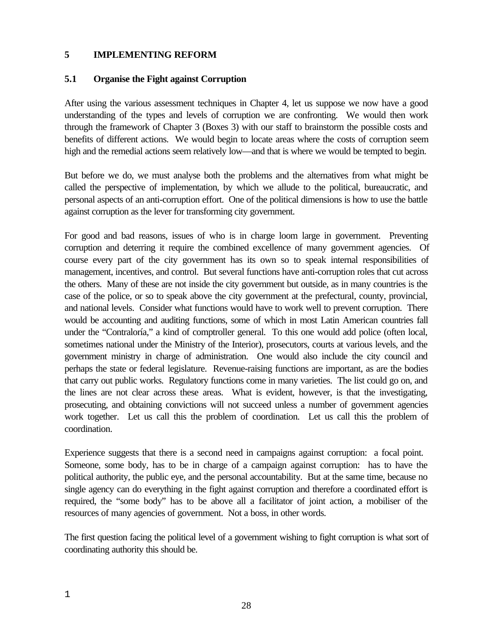## **5 IMPLEMENTING REFORM**

### **5.1 Organise the Fight against Corruption**

After using the various assessment techniques in Chapter 4, let us suppose we now have a good understanding of the types and levels of corruption we are confronting. We would then work through the framework of Chapter 3 (Boxes 3) with our staff to brainstorm the possible costs and benefits of different actions. We would begin to locate areas where the costs of corruption seem high and the remedial actions seem relatively low—and that is where we would be tempted to begin.

But before we do, we must analyse both the problems and the alternatives from what might be called the perspective of implementation, by which we allude to the political, bureaucratic, and personal aspects of an anti-corruption effort. One of the political dimensions is how to use the battle against corruption as the lever for transforming city government.

For good and bad reasons, issues of who is in charge loom large in government. Preventing corruption and deterring it require the combined excellence of many government agencies. Of course every part of the city government has its own so to speak internal responsibilities of management, incentives, and control. But several functions have anti-corruption roles that cut across the others. Many of these are not inside the city government but outside, as in many countries is the case of the police, or so to speak above the city government at the prefectural, county, provincial, and national levels. Consider what functions would have to work well to prevent corruption. There would be accounting and auditing functions, some of which in most Latin American countries fall under the "Contraloría," a kind of comptroller general. To this one would add police (often local, sometimes national under the Ministry of the Interior), prosecutors, courts at various levels, and the government ministry in charge of administration. One would also include the city council and perhaps the state or federal legislature. Revenue-raising functions are important, as are the bodies that carry out public works. Regulatory functions come in many varieties. The list could go on, and the lines are not clear across these areas. What is evident, however, is that the investigating, prosecuting, and obtaining convictions will not succeed unless a number of government agencies work together. Let us call this the problem of coordination. Let us call this the problem of coordination.

Experience suggests that there is a second need in campaigns against corruption: a focal point. Someone, some body, has to be in charge of a campaign against corruption: has to have the political authority, the public eye, and the personal accountability. But at the same time, because no single agency can do everything in the fight against corruption and therefore a coordinated effort is required, the "some body" has to be above all a facilitator of joint action, a mobiliser of the resources of many agencies of government. Not a boss, in other words.

The first question facing the political level of a government wishing to fight corruption is what sort of coordinating authority this should be.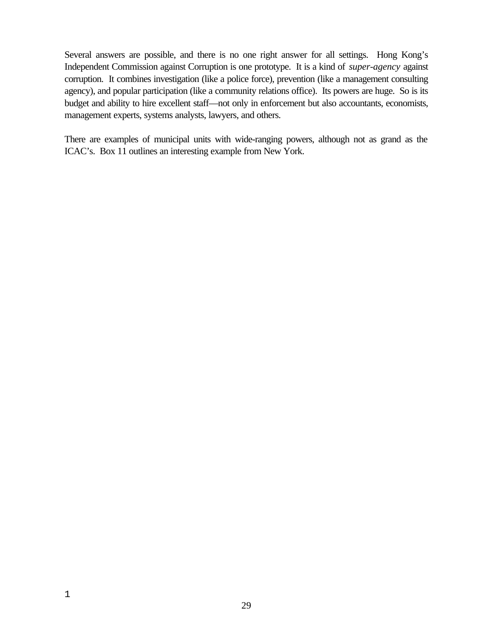Several answers are possible, and there is no one right answer for all settings. Hong Kong's Independent Commission against Corruption is one prototype. It is a kind of *super-agency* against corruption. It combines investigation (like a police force), prevention (like a management consulting agency), and popular participation (like a community relations office). Its powers are huge. So is its budget and ability to hire excellent staff—not only in enforcement but also accountants, economists, management experts, systems analysts, lawyers, and others.

There are examples of municipal units with wide-ranging powers, although not as grand as the ICAC's. Box 11 outlines an interesting example from New York.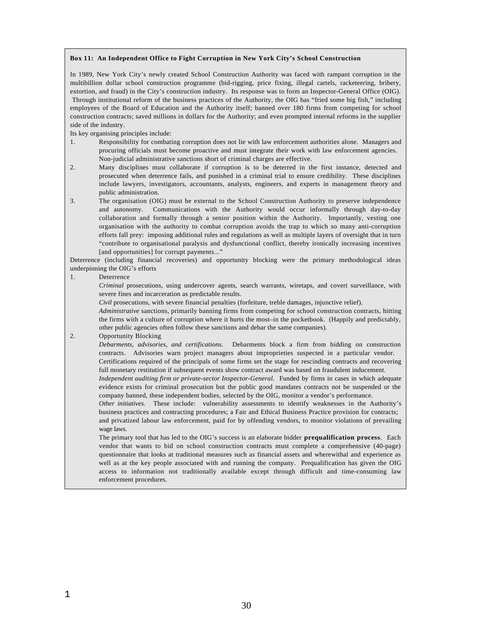#### **Box 11: An Independent Office to Fight Corruption in New York City's School Construction**

In 1989, New York City's newly created School Construction Authority was faced with rampant corruption in the multibillion dollar school construction programme (bid-rigging, price fixing, illegal cartels, racketeering, bribery, extortion, and fraud) in the City's construction industry. Its response was to form an Inspector-General Office (OIG). Through institutional reform of the business practices of the Authority, the OIG has "fried some big fish," including employees of the Board of Education and the Authority itself; banned over 180 firms from competing for school construction contracts; saved millions in dollars for the Authority; and even prompted internal reforms in the supplier side of the industry.

Its key organising principles include:

- 1. Responsibility for combating corruption does not lie with law enforcement authorities alone. Managers and procuring officials must become proactive and must integrate their work with law enforcement agencies. Non-judicial administrative sanctions short of criminal charges are effective.
- 2. Many disciplines must collaborate if corruption is to be deterred in the first instance, detected and prosecuted when deterrence fails, and punished in a criminal trial to ensure credibility. These disciplines include lawyers, investigators, accountants, analysts, engineers, and experts in management theory and public administration.
- 3. The organisation (OIG) must be external to the School Construction Authority to preserve independence and autonomy. Communications with the Authority would occur informally through day-to-day collaboration and formally through a senior position within the Authority. Importantly, vesting one organisation with the authority to combat corruption avoids the trap to which so many anti-corruption efforts fall prey: imposing additional rules and regulations as well as multiple layers of oversight that in turn "contribute to organisational paralysis and dysfunctional conflict, thereby ironically increasing incentives [and opportunities] for corrupt payments..."

Deterrence (including financial recoveries) and opportunity blocking were the primary methodological ideas underpinning the OIG's efforts

1. Deterrence

*Criminal* prosecutions, using undercover agents, search warrants, wiretaps, and covert surveillance, with severe fines and incarceration as predictable results.

*Civil* prosecutions, with severe financial penalties (forfeiture, treble damages, injunctive relief).

*Administrative* sanctions, primarily banning firms from competing for school construction contracts, hitting the firms with a culture of corruption where it hurts the most–in the pocketbook. (Happily and predictably, other public agencies often follow these sanctions and debar the same companies).

2. Opportunity Blocking

*Debarments, advisories, and certifications.* Debarments block a firm from bidding on construction contracts. Advisories warn project managers about improprieties suspected in a particular vendor. Certifications required of the principals of some firms set the stage for rescinding contracts and recovering full monetary restitution if subsequent events show contract award was based on fraudulent inducement.

*Independent auditing firm or private-sector Inspector-General.* Funded by firms in cases in which adequate evidence exists for criminal prosecution but the public good mandates contracts not be suspended or the company banned, these independent bodies, selected by the OIG, monitor a vendor's performance.

*Other initiatives.* These include: vulnerability assessments to identify weaknesses in the Authority's business practices and contracting procedures; a Fair and Ethical Business Practice provision for contracts; and privatized labour law enforcement, paid for by offending vendors, to monitor violations of prevailing wage laws.

The primary tool that has led to the OIG's success is an elaborate bidder **prequalification process**. Each vendor that wants to bid on school construction contracts must complete a comprehensive (40-page) questionnaire that looks at traditional measures such as financial assets and wherewithal and experience as well as at the key people associated with and running the company. Prequalification has given the OIG access to information not traditionally available except through difficult and time-consuming law enforcement procedures.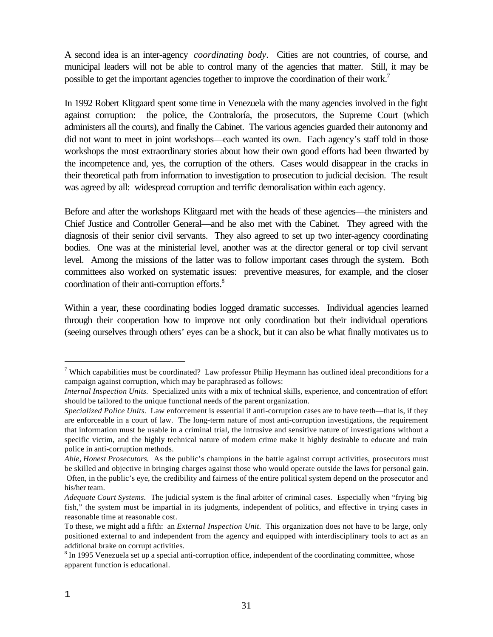A second idea is an inter-agency *coordinating body*. Cities are not countries, of course, and municipal leaders will not be able to control many of the agencies that matter. Still, it may be possible to get the important agencies together to improve the coordination of their work.<sup>7</sup>

In 1992 Robert Klitgaard spent some time in Venezuela with the many agencies involved in the fight against corruption: the police, the Contraloría, the prosecutors, the Supreme Court (which administers all the courts), and finally the Cabinet. The various agencies guarded their autonomy and did not want to meet in joint workshops—each wanted its own. Each agency's staff told in those workshops the most extraordinary stories about how their own good efforts had been thwarted by the incompetence and, yes, the corruption of the others. Cases would disappear in the cracks in their theoretical path from information to investigation to prosecution to judicial decision. The result was agreed by all: widespread corruption and terrific demoralisation within each agency.

Before and after the workshops Klitgaard met with the heads of these agencies—the ministers and Chief Justice and Controller General—and he also met with the Cabinet. They agreed with the diagnosis of their senior civil servants. They also agreed to set up two inter-agency coordinating bodies. One was at the ministerial level, another was at the director general or top civil servant level. Among the missions of the latter was to follow important cases through the system. Both committees also worked on systematic issues: preventive measures, for example, and the closer coordination of their anti-corruption efforts.<sup>8</sup>

Within a year, these coordinating bodies logged dramatic successes. Individual agencies learned through their cooperation how to improve not only coordination but their individual operations (seeing ourselves through others' eyes can be a shock, but it can also be what finally motivates us to

i<br>Li

<sup>&</sup>lt;sup>7</sup> Which capabilities must be coordinated? Law professor Philip Heymann has outlined ideal preconditions for a campaign against corruption, which may be paraphrased as follows:

*Internal Inspection Units.* Specialized units with a mix of technical skills, experience, and concentration of effort should be tailored to the unique functional needs of the parent organization.

*Specialized Police Units.* Law enforcement is essential if anti-corruption cases are to have teeth—that is, if they are enforceable in a court of law. The long-term nature of most anti-corruption investigations, the requirement that information must be usable in a criminal trial, the intrusive and sensitive nature of investigations without a specific victim, and the highly technical nature of modern crime make it highly desirable to educate and train police in anti-corruption methods.

*Able, Honest Prosecutors.* As the public's champions in the battle against corrupt activities, prosecutors must be skilled and objective in bringing charges against those who would operate outside the laws for personal gain. Often, in the public's eye, the credibility and fairness of the entire political system depend on the prosecutor and his/her team.

*Adequate Court Systems.* The judicial system is the final arbiter of criminal cases. Especially when "frying big fish," the system must be impartial in its judgments, independent of politics, and effective in trying cases in reasonable time at reasonable cost.

To these, we might add a fifth: an *External Inspection Unit.* This organization does not have to be large, only positioned external to and independent from the agency and equipped with interdisciplinary tools to act as an additional brake on corrupt activities.

 $8 \text{ In } 1995$  Venezuela set up a special anti-corruption office, independent of the coordinating committee, whose apparent function is educational.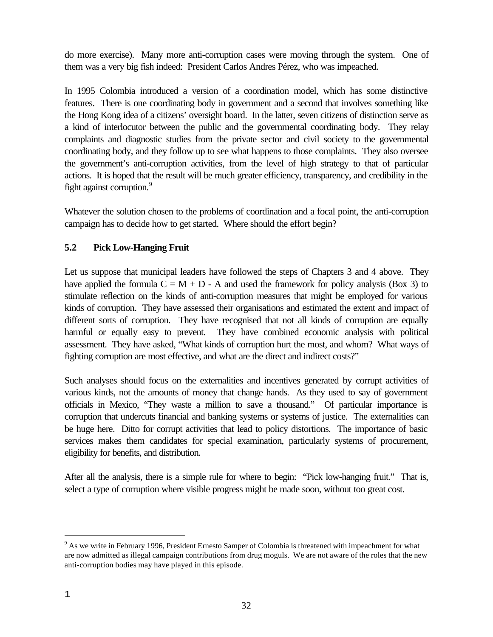do more exercise). Many more anti-corruption cases were moving through the system. One of them was a very big fish indeed: President Carlos Andres Pérez, who was impeached.

In 1995 Colombia introduced a version of a coordination model, which has some distinctive features. There is one coordinating body in government and a second that involves something like the Hong Kong idea of a citizens' oversight board. In the latter, seven citizens of distinction serve as a kind of interlocutor between the public and the governmental coordinating body. They relay complaints and diagnostic studies from the private sector and civil society to the governmental coordinating body, and they follow up to see what happens to those complaints. They also oversee the government's anti-corruption activities, from the level of high strategy to that of particular actions. It is hoped that the result will be much greater efficiency, transparency, and credibility in the fight against corruption.<sup>9</sup>

Whatever the solution chosen to the problems of coordination and a focal point, the anti-corruption campaign has to decide how to get started. Where should the effort begin?

## **5.2 Pick Low-Hanging Fruit**

Let us suppose that municipal leaders have followed the steps of Chapters 3 and 4 above. They have applied the formula  $C = M + D - A$  and used the framework for policy analysis (Box 3) to stimulate reflection on the kinds of anti-corruption measures that might be employed for various kinds of corruption. They have assessed their organisations and estimated the extent and impact of different sorts of corruption. They have recognised that not all kinds of corruption are equally harmful or equally easy to prevent. They have combined economic analysis with political assessment. They have asked, "What kinds of corruption hurt the most, and whom? What ways of fighting corruption are most effective, and what are the direct and indirect costs?"

Such analyses should focus on the externalities and incentives generated by corrupt activities of various kinds, not the amounts of money that change hands. As they used to say of government officials in Mexico, "They waste a million to save a thousand." Of particular importance is corruption that undercuts financial and banking systems or systems of justice. The externalities can be huge here. Ditto for corrupt activities that lead to policy distortions. The importance of basic services makes them candidates for special examination, particularly systems of procurement, eligibility for benefits, and distribution.

After all the analysis, there is a simple rule for where to begin: "Pick low-hanging fruit." That is, select a type of corruption where visible progress might be made soon, without too great cost.

i<br>Li

<sup>&</sup>lt;sup>9</sup> As we write in February 1996, President Ernesto Samper of Colombia is threatened with impeachment for what are now admitted as illegal campaign contributions from drug moguls. We are not aware of the roles that the new anti-corruption bodies may have played in this episode.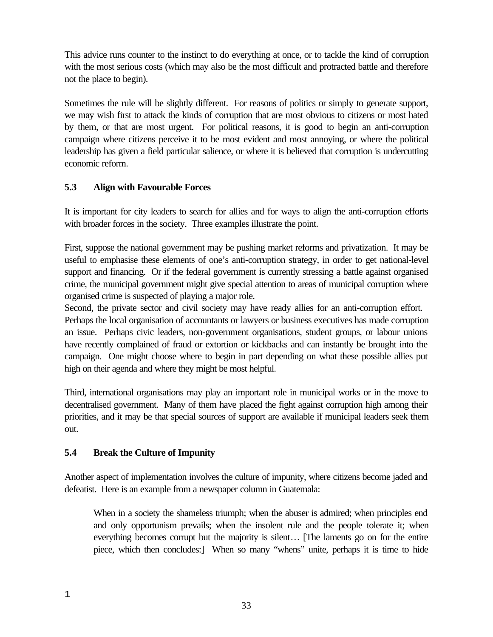This advice runs counter to the instinct to do everything at once, or to tackle the kind of corruption with the most serious costs (which may also be the most difficult and protracted battle and therefore not the place to begin).

Sometimes the rule will be slightly different. For reasons of politics or simply to generate support, we may wish first to attack the kinds of corruption that are most obvious to citizens or most hated by them, or that are most urgent. For political reasons, it is good to begin an anti-corruption campaign where citizens perceive it to be most evident and most annoying, or where the political leadership has given a field particular salience, or where it is believed that corruption is undercutting economic reform.

## **5.3 Align with Favourable Forces**

It is important for city leaders to search for allies and for ways to align the anti-corruption efforts with broader forces in the society. Three examples illustrate the point.

First, suppose the national government may be pushing market reforms and privatization. It may be useful to emphasise these elements of one's anti-corruption strategy, in order to get national-level support and financing. Or if the federal government is currently stressing a battle against organised crime, the municipal government might give special attention to areas of municipal corruption where organised crime is suspected of playing a major role.

Second, the private sector and civil society may have ready allies for an anti-corruption effort. Perhaps the local organisation of accountants or lawyers or business executives has made corruption an issue. Perhaps civic leaders, non-government organisations, student groups, or labour unions have recently complained of fraud or extortion or kickbacks and can instantly be brought into the campaign. One might choose where to begin in part depending on what these possible allies put high on their agenda and where they might be most helpful.

Third, international organisations may play an important role in municipal works or in the move to decentralised government. Many of them have placed the fight against corruption high among their priorities, and it may be that special sources of support are available if municipal leaders seek them out.

## **5.4 Break the Culture of Impunity**

Another aspect of implementation involves the culture of impunity, where citizens become jaded and defeatist. Here is an example from a newspaper column in Guatemala:

When in a society the shameless triumph; when the abuser is admired; when principles end and only opportunism prevails; when the insolent rule and the people tolerate it; when everything becomes corrupt but the majority is silent… [The laments go on for the entire piece, which then concludes:] When so many "whens" unite, perhaps it is time to hide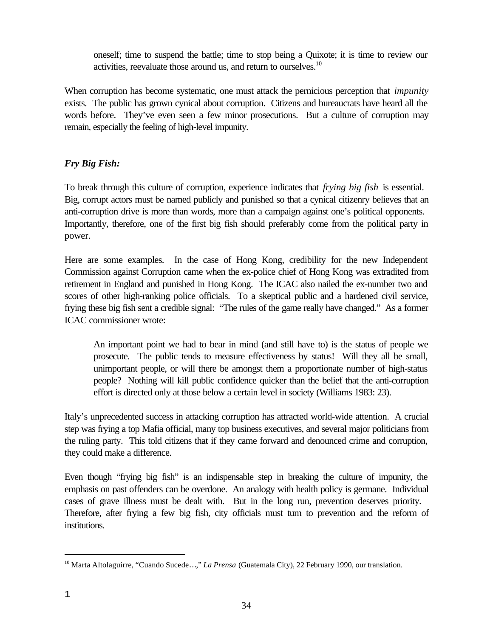oneself; time to suspend the battle; time to stop being a Quixote; it is time to review our activities, reevaluate those around us, and return to ourselves.<sup>10</sup>

When corruption has become systematic, one must attack the pernicious perception that *impunity* exists. The public has grown cynical about corruption. Citizens and bureaucrats have heard all the words before. They've even seen a few minor prosecutions. But a culture of corruption may remain, especially the feeling of high-level impunity.

## *Fry Big Fish:*

To break through this culture of corruption, experience indicates that *frying big fish* is essential. Big, corrupt actors must be named publicly and punished so that a cynical citizenry believes that an anti-corruption drive is more than words, more than a campaign against one's political opponents. Importantly, therefore, one of the first big fish should preferably come from the political party in power.

Here are some examples. In the case of Hong Kong, credibility for the new Independent Commission against Corruption came when the ex-police chief of Hong Kong was extradited from retirement in England and punished in Hong Kong. The ICAC also nailed the ex-number two and scores of other high-ranking police officials. To a skeptical public and a hardened civil service, frying these big fish sent a credible signal: "The rules of the game really have changed." As a former ICAC commissioner wrote:

An important point we had to bear in mind (and still have to) is the status of people we prosecute. The public tends to measure effectiveness by status! Will they all be small, unimportant people, or will there be amongst them a proportionate number of high-status people? Nothing will kill public confidence quicker than the belief that the anti-corruption effort is directed only at those below a certain level in society (Williams 1983: 23).

Italy's unprecedented success in attacking corruption has attracted world-wide attention. A crucial step was frying a top Mafia official, many top business executives, and several major politicians from the ruling party. This told citizens that if they came forward and denounced crime and corruption, they could make a difference.

Even though "frying big fish" is an indispensable step in breaking the culture of impunity, the emphasis on past offenders can be overdone. An analogy with health policy is germane. Individual cases of grave illness must be dealt with. But in the long run, prevention deserves priority. Therefore, after frying a few big fish, city officials must turn to prevention and the reform of institutions.

i<br>Li <sup>10</sup> Marta Altolaguirre, "Cuando Sucede…," *La Prensa* (Guatemala City), 22 February 1990, our translation.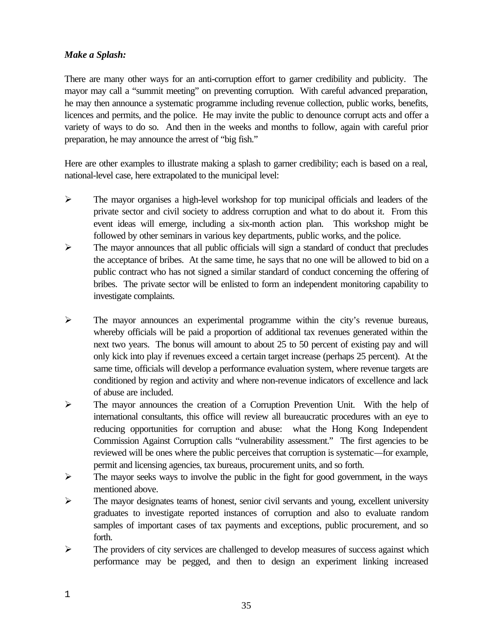## *Make a Splash:*

There are many other ways for an anti-corruption effort to garner credibility and publicity. The mayor may call a "summit meeting" on preventing corruption. With careful advanced preparation, he may then announce a systematic programme including revenue collection, public works, benefits, licences and permits, and the police. He may invite the public to denounce corrupt acts and offer a variety of ways to do so. And then in the weeks and months to follow, again with careful prior preparation, he may announce the arrest of "big fish."

Here are other examples to illustrate making a splash to garner credibility; each is based on a real, national-level case, here extrapolated to the municipal level:

- $\triangleright$  The mayor organises a high-level workshop for top municipal officials and leaders of the private sector and civil society to address corruption and what to do about it. From this event ideas will emerge, including a six-month action plan. This workshop might be followed by other seminars in various key departments, public works, and the police.
- $\triangleright$  The mayor announces that all public officials will sign a standard of conduct that precludes the acceptance of bribes. At the same time, he says that no one will be allowed to bid on a public contract who has not signed a similar standard of conduct concerning the offering of bribes. The private sector will be enlisted to form an independent monitoring capability to investigate complaints.
- $\triangleright$  The mayor announces an experimental programme within the city's revenue bureaus, whereby officials will be paid a proportion of additional tax revenues generated within the next two years. The bonus will amount to about 25 to 50 percent of existing pay and will only kick into play if revenues exceed a certain target increase (perhaps 25 percent). At the same time, officials will develop a performance evaluation system, where revenue targets are conditioned by region and activity and where non-revenue indicators of excellence and lack of abuse are included.
- $\triangleright$  The mayor announces the creation of a Corruption Prevention Unit. With the help of international consultants, this office will review all bureaucratic procedures with an eye to reducing opportunities for corruption and abuse: what the Hong Kong Independent Commission Against Corruption calls "vulnerability assessment." The first agencies to be reviewed will be ones where the public perceives that corruption is systematic*—*for example, permit and licensing agencies, tax bureaus, procurement units, and so forth.
- $\triangleright$  The mayor seeks ways to involve the public in the fight for good government, in the ways mentioned above.
- $\triangleright$  The mayor designates teams of honest, senior civil servants and young, excellent university graduates to investigate reported instances of corruption and also to evaluate random samples of important cases of tax payments and exceptions, public procurement, and so forth.
- $\triangleright$  The providers of city services are challenged to develop measures of success against which performance may be pegged, and then to design an experiment linking increased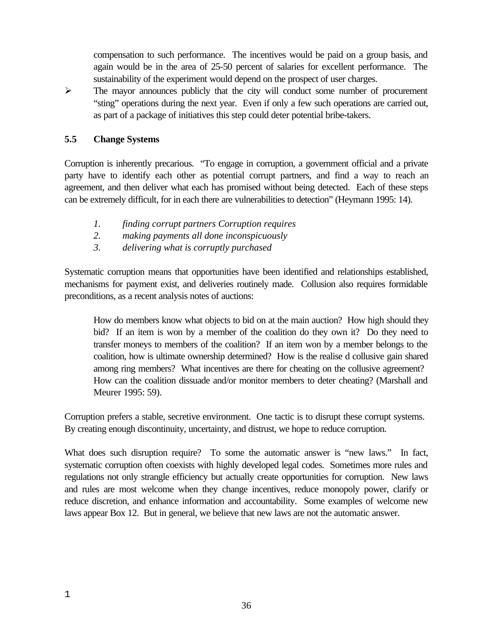compensation to such performance. The incentives would be paid on a group basis, and again would be in the area of 25-50 percent of salaries for excellent performance. The sustainability of the experiment would depend on the prospect of user charges.

 $\triangleright$  The mayor announces publicly that the city will conduct some number of procurement "sting" operations during the next year. Even if only a few such operations are carried out, as part of a package of initiatives this step could deter potential bribe-takers.

## **5.5 Change Systems**

Corruption is inherently precarious. "To engage in corruption, a government official and a private party have to identify each other as potential corrupt partners, and find a way to reach an agreement, and then deliver what each has promised without being detected. Each of these steps can be extremely difficult, for in each there are vulnerabilities to detection" (Heymann 1995: 14).

- *1. finding corrupt partners Corruption requires*
- *2. making payments all done inconspicuously*
- *3. delivering what is corruptly purchased*

Systematic corruption means that opportunities have been identified and relationships established, mechanisms for payment exist, and deliveries routinely made. Collusion also requires formidable preconditions, as a recent analysis notes of auctions:

How do members know what objects to bid on at the main auction? How high should they bid? If an item is won by a member of the coalition do they own it? Do they need to transfer moneys to members of the coalition? If an item won by a member belongs to the coalition, how is ultimate ownership determined? How is the realise d collusive gain shared among ring members? What incentives are there for cheating on the collusive agreement? How can the coalition dissuade and/or monitor members to deter cheating? (Marshall and Meurer 1995: 59).

Corruption prefers a stable, secretive environment. One tactic is to disrupt these corrupt systems. By creating enough discontinuity, uncertainty, and distrust, we hope to reduce corruption.

What does such disruption require? To some the automatic answer is "new laws." In fact, systematic corruption often coexists with highly developed legal codes. Sometimes more rules and regulations not only strangle efficiency but actually create opportunities for corruption. New laws and rules are most welcome when they change incentives, reduce monopoly power, clarify or reduce discretion, and enhance information and accountability. Some examples of welcome new laws appear Box 12. But in general, we believe that new laws are not the automatic answer.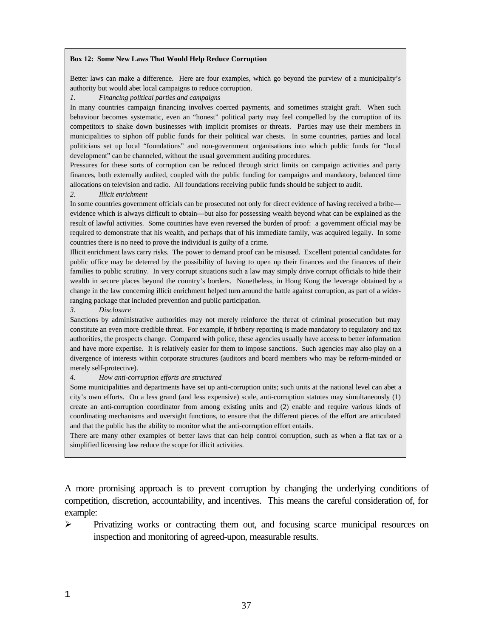#### **Box 12: Some New Laws That Would Help Reduce Corruption**

Better laws can make a difference. Here are four examples, which go beyond the purview of a municipality's authority but would abet local campaigns to reduce corruption.

#### *1. Financing political parties and campaigns*

In many countries campaign financing involves coerced payments, and sometimes straight graft. When such behaviour becomes systematic, even an "honest" political party may feel compelled by the corruption of its competitors to shake down businesses with implicit promises or threats. Parties may use their members in municipalities to siphon off public funds for their political war chests. In some countries, parties and local politicians set up local "foundations" and non-government organisations into which public funds for "local development" can be channeled, without the usual government auditing procedures.

Pressures for these sorts of corruption can be reduced through strict limits on campaign activities and party finances, both externally audited, coupled with the public funding for campaigns and mandatory, balanced time allocations on television and radio. All foundations receiving public funds should be subject to audit.

#### *2. Illicit enrichment*

In some countries government officials can be prosecuted not only for direct evidence of having received a bribeevidence which is always difficult to obtain—but also for possessing wealth beyond what can be explained as the result of lawful activities. Some countries have even reversed the burden of proof: a government official may be required to demonstrate that his wealth, and perhaps that of his immediate family, was acquired legally. In some countries there is no need to prove the individual is guilty of a crime.

Illicit enrichment laws carry risks. The power to demand proof can be misused. Excellent potential candidates for public office may be deterred by the possibility of having to open up their finances and the finances of their families to public scrutiny. In very corrupt situations such a law may simply drive corrupt officials to hide their wealth in secure places beyond the country's borders. Nonetheless, in Hong Kong the leverage obtained by a change in the law concerning illicit enrichment helped turn around the battle against corruption, as part of a widerranging package that included prevention and public participation.

#### *3. Disclosure*

Sanctions by administrative authorities may not merely reinforce the threat of criminal prosecution but may constitute an even more credible threat. For example, if bribery reporting is made mandatory to regulatory and tax authorities, the prospects change. Compared with police, these agencies usually have access to better information and have more expertise. It is relatively easier for them to impose sanctions. Such agencies may also play on a divergence of interests within corporate structures (auditors and board members who may be reform-minded or merely self-protective).

#### *4. How anti-corruption efforts are structured*

Some municipalities and departments have set up anti-corruption units; such units at the national level can abet a city's own efforts. On a less grand (and less expensive) scale, anti-corruption statutes may simultaneously (1) create an anti-corruption coordinator from among existing units and (2) enable and require various kinds of coordinating mechanisms and oversight functions, to ensure that the different pieces of the effort are articulated and that the public has the ability to monitor what the anti-corruption effort entails.

There are many other examples of better laws that can help control corruption, such as when a flat tax or a simplified licensing law reduce the scope for illicit activities.

A more promising approach is to prevent corruption by changing the underlying conditions of competition, discretion, accountability, and incentives. This means the careful consideration of, for example:

 $\triangleright$  Privatizing works or contracting them out, and focusing scarce municipal resources on inspection and monitoring of agreed-upon, measurable results.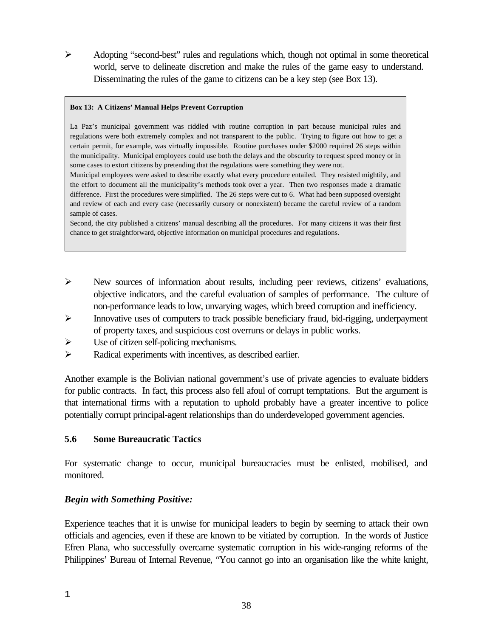$\triangleright$  Adopting "second-best" rules and regulations which, though not optimal in some theoretical world, serve to delineate discretion and make the rules of the game easy to understand. Disseminating the rules of the game to citizens can be a key step (see Box 13).

#### **Box 13: A Citizens' Manual Helps Prevent Corruption**

La Paz's municipal government was riddled with routine corruption in part because municipal rules and regulations were both extremely complex and not transparent to the public. Trying to figure out how to get a certain permit, for example, was virtually impossible. Routine purchases under \$2000 required 26 steps within the municipality. Municipal employees could use both the delays and the obscurity to request speed money or in some cases to extort citizens by pretending that the regulations were something they were not.

Municipal employees were asked to describe exactly what every procedure entailed. They resisted mightily, and the effort to document all the municipality's methods took over a year. Then two responses made a dramatic difference. First the procedures were simplified. The 26 steps were cut to 6. What had been supposed oversight and review of each and every case (necessarily cursory or nonexistent) became the careful review of a random sample of cases.

Second, the city published a citizens' manual describing all the procedures. For many citizens it was their first chance to get straightforward, objective information on municipal procedures and regulations.

- ÿ New sources of information about results, including peer reviews, citizens' evaluations, objective indicators, and the careful evaluation of samples of performance. The culture of non-performance leads to low, unvarying wages, which breed corruption and inefficiency.
- $\triangleright$  Innovative uses of computers to track possible beneficiary fraud, bid-rigging, underpayment of property taxes, and suspicious cost overruns or delays in public works.
- $\triangleright$  Use of citizen self-policing mechanisms.
- $\triangleright$  Radical experiments with incentives, as described earlier.

Another example is the Bolivian national government's use of private agencies to evaluate bidders for public contracts. In fact, this process also fell afoul of corrupt temptations. But the argument is that international firms with a reputation to uphold probably have a greater incentive to police potentially corrupt principal-agent relationships than do underdeveloped government agencies.

### **5.6 Some Bureaucratic Tactics**

For systematic change to occur, municipal bureaucracies must be enlisted, mobilised, and monitored.

### *Begin with Something Positive:*

Experience teaches that it is unwise for municipal leaders to begin by seeming to attack their own officials and agencies, even if these are known to be vitiated by corruption. In the words of Justice Efren Plana, who successfully overcame systematic corruption in his wide-ranging reforms of the Philippines' Bureau of Internal Revenue, "You cannot go into an organisation like the white knight,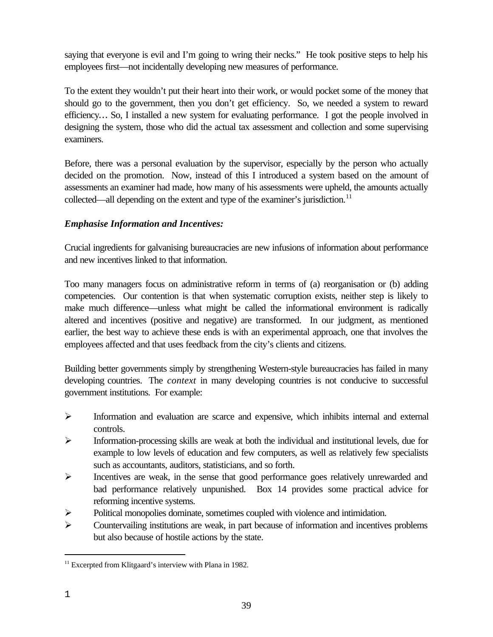saying that everyone is evil and I'm going to wring their necks." He took positive steps to help his employees first—not incidentally developing new measures of performance.

To the extent they wouldn't put their heart into their work, or would pocket some of the money that should go to the government, then you don't get efficiency. So, we needed a system to reward efficiency… So, I installed a new system for evaluating performance. I got the people involved in designing the system, those who did the actual tax assessment and collection and some supervising examiners.

Before, there was a personal evaluation by the supervisor, especially by the person who actually decided on the promotion. Now, instead of this I introduced a system based on the amount of assessments an examiner had made, how many of his assessments were upheld, the amounts actually collected—all depending on the extent and type of the examiner's jurisdiction.<sup>11</sup>

## *Emphasise Information and Incentives:*

Crucial ingredients for galvanising bureaucracies are new infusions of information about performance and new incentives linked to that information.

Too many managers focus on administrative reform in terms of (a) reorganisation or (b) adding competencies. Our contention is that when systematic corruption exists, neither step is likely to make much difference—unless what might be called the informational environment is radically altered and incentives (positive and negative) are transformed. In our judgment, as mentioned earlier, the best way to achieve these ends is with an experimental approach, one that involves the employees affected and that uses feedback from the city's clients and citizens.

Building better governments simply by strengthening Western-style bureaucracies has failed in many developing countries. The *context* in many developing countries is not conducive to successful government institutions. For example:

- $\triangleright$  Information and evaluation are scarce and expensive, which inhibits internal and external controls.
- $\triangleright$  Information-processing skills are weak at both the individual and institutional levels, due for example to low levels of education and few computers, as well as relatively few specialists such as accountants, auditors, statisticians, and so forth.
- ÿ Incentives are weak, in the sense that good performance goes relatively unrewarded and bad performance relatively unpunished. Box 14 provides some practical advice for reforming incentive systems.
- ÿ Political monopolies dominate, sometimes coupled with violence and intimidation.
- $\triangleright$  Countervailing institutions are weak, in part because of information and incentives problems but also because of hostile actions by the state.

i<br>Li  $11$  Excerpted from Klitgaard's interview with Plana in 1982.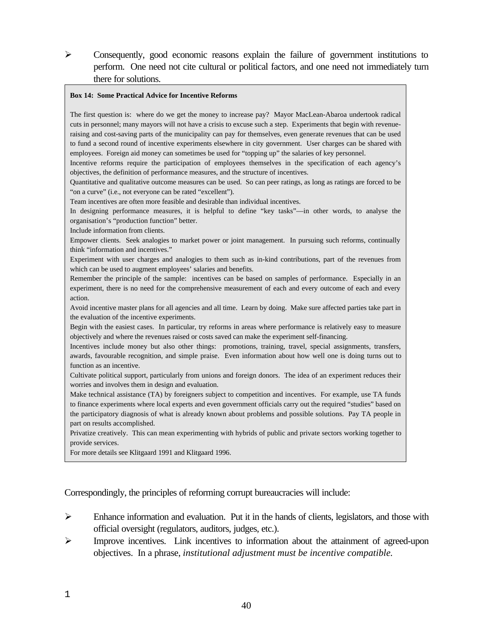$\triangleright$  Consequently, good economic reasons explain the failure of government institutions to perform. One need not cite cultural or political factors, and one need not immediately turn there for solutions.

#### **Box 14: Some Practical Advice for Incentive Reforms**

The first question is: where do we get the money to increase pay? Mayor MacLean-Abaroa undertook radical cuts in personnel; many mayors will not have a crisis to excuse such a step. Experiments that begin with revenueraising and cost-saving parts of the municipality can pay for themselves, even generate revenues that can be used to fund a second round of incentive experiments elsewhere in city government. User charges can be shared with employees. Foreign aid money can sometimes be used for "topping up" the salaries of key personnel.

Incentive reforms require the participation of employees themselves in the specification of each agency's objectives, the definition of performance measures, and the structure of incentives.

Quantitative and qualitative outcome measures can be used. So can peer ratings, as long as ratings are forced to be "on a curve" (i.e., not everyone can be rated "excellent").

Team incentives are often more feasible and desirable than individual incentives.

In designing performance measures, it is helpful to define "key tasks"—in other words, to analyse the organisation's "production function" better.

Include information from clients.

Empower clients. Seek analogies to market power or joint management. In pursuing such reforms, continually think "information and incentives."

Experiment with user charges and analogies to them such as in-kind contributions, part of the revenues from which can be used to augment employees' salaries and benefits.

Remember the principle of the sample: incentives can be based on samples of performance. Especially in an experiment, there is no need for the comprehensive measurement of each and every outcome of each and every action.

Avoid incentive master plans for all agencies and all time. Learn by doing. Make sure affected parties take part in the evaluation of the incentive experiments.

Begin with the easiest cases. In particular, try reforms in areas where performance is relatively easy to measure objectively and where the revenues raised or costs saved can make the experiment self-financing.

Incentives include money but also other things: promotions, training, travel, special assignments, transfers, awards, favourable recognition, and simple praise. Even information about how well one is doing turns out to function as an incentive.

Cultivate political support, particularly from unions and foreign donors. The idea of an experiment reduces their worries and involves them in design and evaluation.

Make technical assistance (TA) by foreigners subject to competition and incentives. For example, use TA funds to finance experiments where local experts and even government officials carry out the required "studies" based on the participatory diagnosis of what is already known about problems and possible solutions. Pay TA people in part on results accomplished.

Privatize creatively. This can mean experimenting with hybrids of public and private sectors working together to provide services.

For more details see Klitgaard 1991 and Klitgaard 1996.

Correspondingly, the principles of reforming corrupt bureaucracies will include:

- $\triangleright$  Enhance information and evaluation. Put it in the hands of clients, legislators, and those with official oversight (regulators, auditors, judges, etc.).
- $\triangleright$  Improve incentives. Link incentives to information about the attainment of agreed-upon objectives. In a phrase, *institutional adjustment must be incentive compatible.*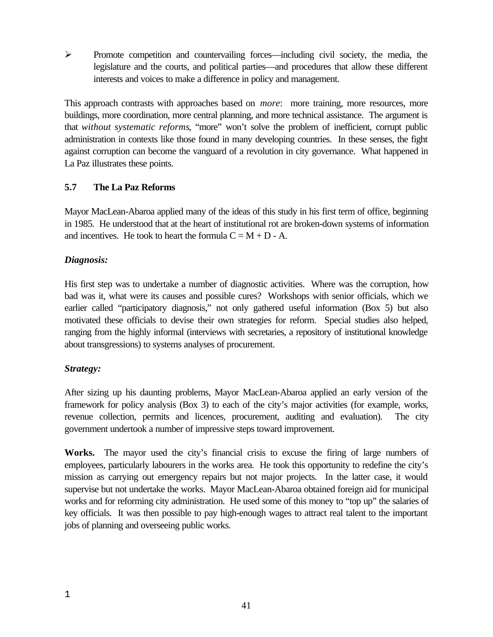$\triangleright$  Promote competition and countervailing forces—including civil society, the media, the legislature and the courts, and political parties—and procedures that allow these different interests and voices to make a difference in policy and management.

This approach contrasts with approaches based on *more*: more training, more resources, more buildings, more coordination, more central planning, and more technical assistance. The argument is that *without systematic reforms*, "more" won't solve the problem of inefficient, corrupt public administration in contexts like those found in many developing countries. In these senses, the fight against corruption can become the vanguard of a revolution in city governance. What happened in La Paz illustrates these points.

## **5.7 The La Paz Reforms**

Mayor MacLean-Abaroa applied many of the ideas of this study in his first term of office, beginning in 1985. He understood that at the heart of institutional rot are broken-down systems of information and incentives. He took to heart the formula  $C = M + D - A$ .

## *Diagnosis:*

His first step was to undertake a number of diagnostic activities. Where was the corruption, how bad was it, what were its causes and possible cures? Workshops with senior officials, which we earlier called "participatory diagnosis," not only gathered useful information (Box 5) but also motivated these officials to devise their own strategies for reform. Special studies also helped, ranging from the highly informal (interviews with secretaries, a repository of institutional knowledge about transgressions) to systems analyses of procurement.

## *Strategy:*

After sizing up his daunting problems, Mayor MacLean-Abaroa applied an early version of the framework for policy analysis (Box 3) to each of the city's major activities (for example, works, revenue collection, permits and licences, procurement, auditing and evaluation). The city government undertook a number of impressive steps toward improvement.

**Works.** The mayor used the city's financial crisis to excuse the firing of large numbers of employees, particularly labourers in the works area. He took this opportunity to redefine the city's mission as carrying out emergency repairs but not major projects. In the latter case, it would supervise but not undertake the works. Mayor MacLean-Abaroa obtained foreign aid for municipal works and for reforming city administration. He used some of this money to "top up" the salaries of key officials. It was then possible to pay high-enough wages to attract real talent to the important jobs of planning and overseeing public works.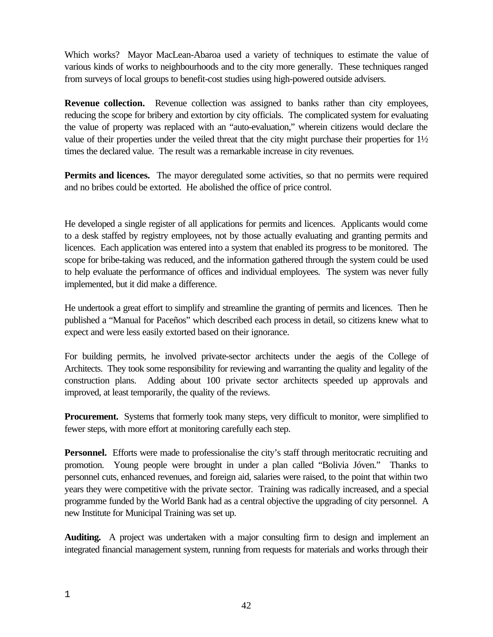Which works? Mayor MacLean-Abaroa used a variety of techniques to estimate the value of various kinds of works to neighbourhoods and to the city more generally. These techniques ranged from surveys of local groups to benefit-cost studies using high-powered outside advisers.

**Revenue collection.** Revenue collection was assigned to banks rather than city employees, reducing the scope for bribery and extortion by city officials. The complicated system for evaluating the value of property was replaced with an "auto-evaluation," wherein citizens would declare the value of their properties under the veiled threat that the city might purchase their properties for  $1\frac{1}{2}$ times the declared value. The result was a remarkable increase in city revenues.

**Permits and licences.** The mayor deregulated some activities, so that no permits were required and no bribes could be extorted. He abolished the office of price control.

He developed a single register of all applications for permits and licences. Applicants would come to a desk staffed by registry employees, not by those actually evaluating and granting permits and licences. Each application was entered into a system that enabled its progress to be monitored. The scope for bribe-taking was reduced, and the information gathered through the system could be used to help evaluate the performance of offices and individual employees. The system was never fully implemented, but it did make a difference.

He undertook a great effort to simplify and streamline the granting of permits and licences. Then he published a "Manual for Paceños" which described each process in detail, so citizens knew what to expect and were less easily extorted based on their ignorance.

For building permits, he involved private-sector architects under the aegis of the College of Architects. They took some responsibility for reviewing and warranting the quality and legality of the construction plans. Adding about 100 private sector architects speeded up approvals and improved, at least temporarily, the quality of the reviews.

**Procurement.** Systems that formerly took many steps, very difficult to monitor, were simplified to fewer steps, with more effort at monitoring carefully each step.

**Personnel.** Efforts were made to professionalise the city's staff through meritocratic recruiting and promotion. Young people were brought in under a plan called "Bolivia Jóven." Thanks to personnel cuts, enhanced revenues, and foreign aid, salaries were raised, to the point that within two years they were competitive with the private sector. Training was radically increased, and a special programme funded by the World Bank had as a central objective the upgrading of city personnel. A new Institute for Municipal Training was set up.

**Auditing.** A project was undertaken with a major consulting firm to design and implement an integrated financial management system, running from requests for materials and works through their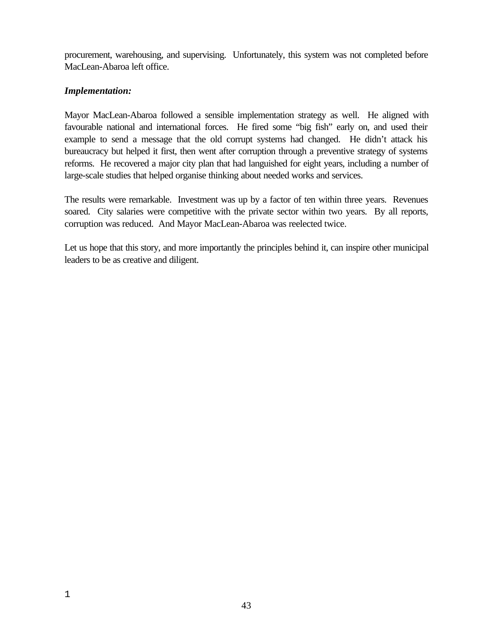procurement, warehousing, and supervising. Unfortunately, this system was not completed before MacLean-Abaroa left office.

### *Implementation:*

Mayor MacLean-Abaroa followed a sensible implementation strategy as well. He aligned with favourable national and international forces. He fired some "big fish" early on, and used their example to send a message that the old corrupt systems had changed. He didn't attack his bureaucracy but helped it first, then went after corruption through a preventive strategy of systems reforms. He recovered a major city plan that had languished for eight years, including a number of large-scale studies that helped organise thinking about needed works and services.

The results were remarkable. Investment was up by a factor of ten within three years. Revenues soared. City salaries were competitive with the private sector within two years. By all reports, corruption was reduced. And Mayor MacLean-Abaroa was reelected twice.

Let us hope that this story, and more importantly the principles behind it, can inspire other municipal leaders to be as creative and diligent.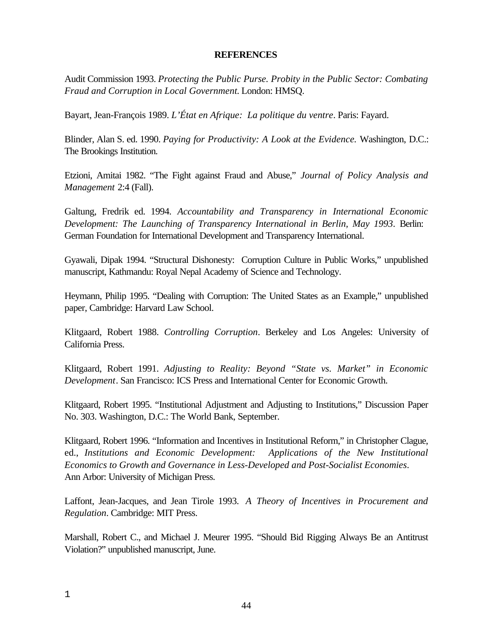### **REFERENCES**

Audit Commission 1993. *Protecting the Public Purse. Probity in the Public Sector: Combating Fraud and Corruption in Local Government.* London: HMSQ.

Bayart, Jean-François 1989. *L'État en Afrique: La politique du ventre*. Paris: Fayard.

Blinder, Alan S. ed. 1990. *Paying for Productivity: A Look at the Evidence.* Washington, D.C.: The Brookings Institution.

Etzioni, Amitai 1982. "The Fight against Fraud and Abuse," *Journal of Policy Analysis and Management* 2:4 (Fall).

Galtung, Fredrik ed. 1994. *Accountability and Transparency in International Economic Development: The Launching of Transparency International in Berlin, May 1993*. Berlin: German Foundation for International Development and Transparency International.

Gyawali, Dipak 1994. "Structural Dishonesty: Corruption Culture in Public Works," unpublished manuscript, Kathmandu: Royal Nepal Academy of Science and Technology.

Heymann, Philip 1995. "Dealing with Corruption: The United States as an Example," unpublished paper, Cambridge: Harvard Law School.

Klitgaard, Robert 1988. *Controlling Corruption*. Berkeley and Los Angeles: University of California Press.

Klitgaard, Robert 1991. *Adjusting to Reality: Beyond "State vs. Market" in Economic Development*. San Francisco: ICS Press and International Center for Economic Growth.

Klitgaard, Robert 1995. "Institutional Adjustment and Adjusting to Institutions," Discussion Paper No. 303. Washington, D.C.: The World Bank, September.

Klitgaard, Robert 1996. "Information and Incentives in Institutional Reform," in Christopher Clague, ed., *Institutions and Economic Development: Applications of the New Institutional Economics to Growth and Governance in Less-Developed and Post-Socialist Economies*. Ann Arbor: University of Michigan Press.

Laffont, Jean-Jacques, and Jean Tirole 1993. *A Theory of Incentives in Procurement and Regulation*. Cambridge: MIT Press.

Marshall, Robert C., and Michael J. Meurer 1995. "Should Bid Rigging Always Be an Antitrust Violation?" unpublished manuscript, June.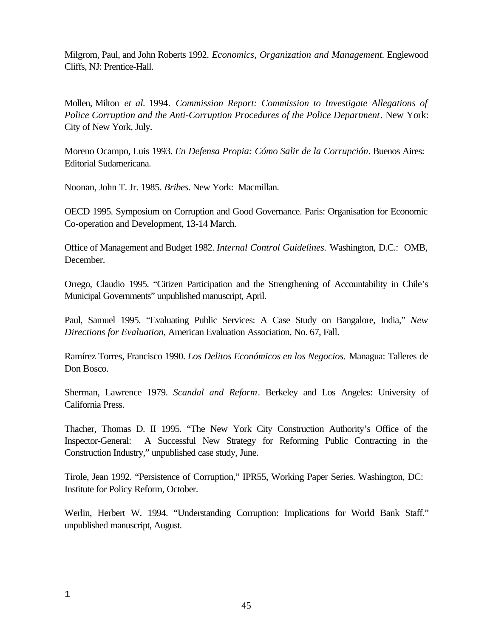Milgrom, Paul, and John Roberts 1992. *Economics, Organization and Management.* Englewood Cliffs, NJ: Prentice-Hall.

Mollen, Milton *et al.* 1994. *Commission Report: Commission to Investigate Allegations of Police Corruption and the Anti-Corruption Procedures of the Police Department*. New York: City of New York, July.

Moreno Ocampo, Luis 1993. *En Defensa Propia: Cómo Salir de la Corrupción*. Buenos Aires: Editorial Sudamericana.

Noonan, John T. Jr. 1985. *Bribes*. New York: Macmillan.

OECD 1995. Symposium on Corruption and Good Governance. Paris: Organisation for Economic Co-operation and Development, 13-14 March.

Office of Management and Budget 1982. *Internal Control Guidelines.* Washington, D.C.: OMB, December.

Orrego, Claudio 1995. "Citizen Participation and the Strengthening of Accountability in Chile's Municipal Governments" unpublished manuscript, April.

Paul, Samuel 1995. "Evaluating Public Services: A Case Study on Bangalore, India," *New Directions for Evaluation*, American Evaluation Association, No. 67, Fall.

Ramírez Torres, Francisco 1990. *Los Delitos Económicos en los Negocios.* Managua: Talleres de Don Bosco.

Sherman, Lawrence 1979. *Scandal and Reform*. Berkeley and Los Angeles: University of California Press.

Thacher, Thomas D. II 1995. "The New York City Construction Authority's Office of the Inspector-General: A Successful New Strategy for Reforming Public Contracting in the Construction Industry," unpublished case study, June.

Tirole, Jean 1992. "Persistence of Corruption," IPR55, Working Paper Series. Washington, DC: Institute for Policy Reform, October.

Werlin, Herbert W. 1994. "Understanding Corruption: Implications for World Bank Staff." unpublished manuscript, August.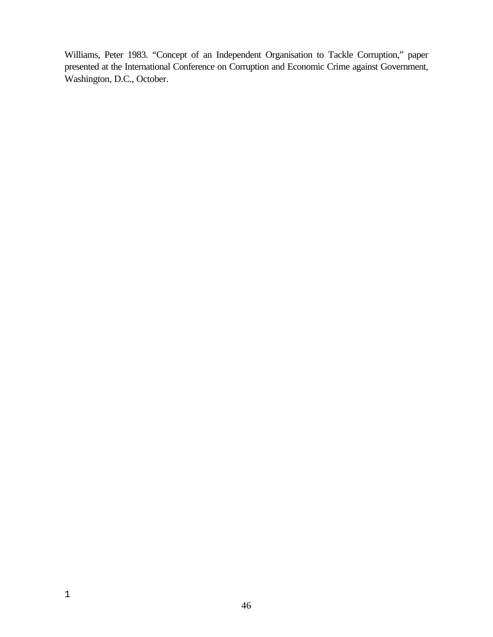Williams, Peter 1983. "Concept of an Independent Organisation to Tackle Corruption," paper presented at the International Conference on Corruption and Economic Crime against Government, Washington, D.C., October.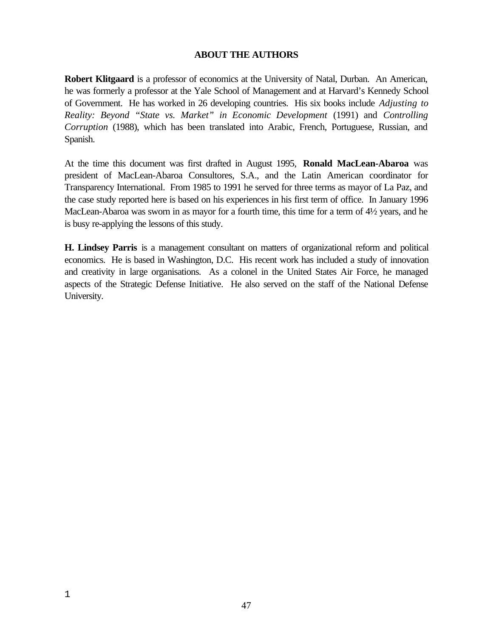### **ABOUT THE AUTHORS**

**Robert Klitgaard** is a professor of economics at the University of Natal, Durban. An American, he was formerly a professor at the Yale School of Management and at Harvard's Kennedy School of Government. He has worked in 26 developing countries. His six books include *Adjusting to Reality: Beyond "State vs. Market" in Economic Development* (1991) and *Controlling Corruption* (1988), which has been translated into Arabic, French, Portuguese, Russian, and Spanish.

At the time this document was first drafted in August 1995, **Ronald MacLean-Abaroa** was president of MacLean-Abaroa Consultores, S.A., and the Latin American coordinator for Transparency International. From 1985 to 1991 he served for three terms as mayor of La Paz, and the case study reported here is based on his experiences in his first term of office. In January 1996 MacLean-Abaroa was sworn in as mayor for a fourth time, this time for a term of 4½ years, and he is busy re-applying the lessons of this study.

**H. Lindsey Parris** is a management consultant on matters of organizational reform and political economics. He is based in Washington, D.C. His recent work has included a study of innovation and creativity in large organisations. As a colonel in the United States Air Force, he managed aspects of the Strategic Defense Initiative. He also served on the staff of the National Defense University.